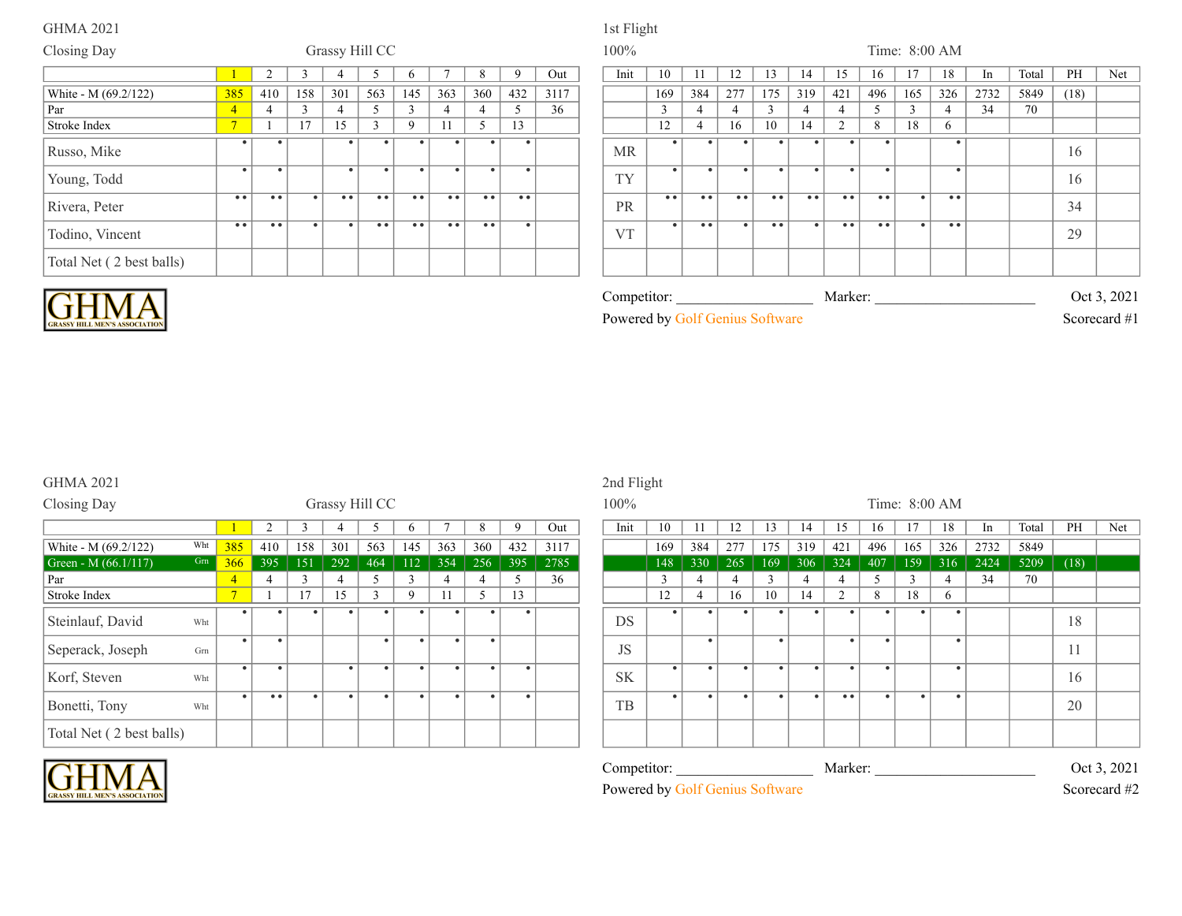| Closing Day              |                     |           |           |           | Grassy Hill CC      |                  |                  |                          |           |      | 100%      |           |                     |           |                         |           |                |                  |           | Time: 8:00 AM    |               |       |      |     |
|--------------------------|---------------------|-----------|-----------|-----------|---------------------|------------------|------------------|--------------------------|-----------|------|-----------|-----------|---------------------|-----------|-------------------------|-----------|----------------|------------------|-----------|------------------|---------------|-------|------|-----|
|                          |                     |           |           |           |                     | n                |                  | 8                        |           | Out  | Init      | 10        |                     | 12        | 13                      | 14        | 15             | 16               | 17        | 18               | <sub>In</sub> | Total | PH   | Net |
| White - M (69.2/122)     | 385                 | 410       | 158       | 301       | 563                 | 145              | 363              | 360                      | 432       | 3117 |           | 169       | 384                 | 277       | 175                     | 319       | 421            | 496              | 165       | 326              | 2732          | 5849  | (18) |     |
| Par                      | $\overline{4}$      |           | $\sim$    |           |                     | $\sim$           | 4                | 4                        |           | 36   |           |           | $\overline{4}$      |           | $\sim$<br>$\rightarrow$ |           | 4              |                  | $\sim$    | 4                | 34            | 70    |      |     |
| Stroke Index             | $7\phantom{.0}$     |           | 17        | 15        |                     | -9               |                  | $\overline{\mathcal{L}}$ | 13        |      |           | 12        | $\overline{4}$      | 16        | 10                      | 14        | $\overline{2}$ | $\mathbf{R}$     | 18        | <sub>0</sub>     |               |       |      |     |
| Russo, Mike              |                     | ٠         |           |           |                     |                  |                  |                          | $\bullet$ |      | <b>MR</b> |           |                     | $\bullet$ |                         |           |                |                  |           |                  |               |       | 16   |     |
| Young, Todd              |                     | ٠         |           | $\bullet$ |                     |                  |                  |                          | $\bullet$ |      | TY        |           |                     | $\bullet$ | $\bullet$               | $\bullet$ |                | $\bullet$        |           | $\bullet$        |               |       | 16   |     |
| Rivera, Peter            | $\bullet$ $\bullet$ | $\bullet$ | $\bullet$ | • •       | $\bullet$ $\bullet$ | $\bullet\bullet$ | • •              | • •                      | • •       |      | PR        | $\bullet$ | $\bullet$ $\bullet$ | • •       | $\bullet\bullet$        | • •       | $^{\circ}$     | $\bullet\bullet$ | $\bullet$ | $\bullet\bullet$ |               |       | 34   |     |
| Todino, Vincent          | $\bullet$           | $\bullet$ |           | $\bullet$ | $\bullet$           | $\bullet\bullet$ | $\bullet\bullet$ | • •                      | $\bullet$ |      | <b>VT</b> |           | $\bullet$           | $\bullet$ | $\bullet\bullet$        | $\bullet$ | $\bullet$      | $\bullet\bullet$ |           | $\bullet\bullet$ |               |       | 29   |     |
| Total Net (2 best balls) |                     |           |           |           |                     |                  |                  |                          |           |      |           |           |                     |           |                         |           |                |                  |           |                  |               |       |      |     |



| <b>RASSY HILL MEN'S ASSOCIATION</b> |  |
|-------------------------------------|--|

| $\mathcal{L}$ ompetitor: |  |            |         | Marker <sup>.</sup> |  |  | Oct 3 | 2021         |  |
|--------------------------|--|------------|---------|---------------------|--|--|-------|--------------|--|
| Powered by '             |  | $20111S$ . | oftware |                     |  |  |       | Scorecard #1 |  |

# GHMA 2021 2nd Flight

lτ

**CRASSY HILL MEN'S ASSOCIATIO** 

| Closing Day              |     |                |                |          |           | Grassy Hill CC |              |     |               |     |      | 100%      |              |                |                |        |           |                       |     | Time: 8:00 AM |     |      |      |
|--------------------------|-----|----------------|----------------|----------|-----------|----------------|--------------|-----|---------------|-----|------|-----------|--------------|----------------|----------------|--------|-----------|-----------------------|-----|---------------|-----|------|------|
|                          |     |                |                |          |           |                | <sub>b</sub> |     | 8             | 9   | Out  | Init      | 10           |                | 12             | $13 -$ | 14        | 15                    | 16  | 17            | 18  | In.  | Tota |
| White - M (69.2/122)     | Wht | 385            | 410            | 158      | 301       | 563            | 145          | 363 | 360           | 432 | 3117 |           | 169          | 384            | 277            | 175    | 319       | 421                   | 496 | 165           | 326 | 2732 | 584  |
| Green - M $(66.1/117)$   | Grn | 366            | 395            | 151      | 292       | 464            | 112          | 354 | 256           | 395 | 2785 |           | 148          | 330            | 265            | 169    | 306       | 324                   | 407 | 159           | 316 | 2424 | 520  |
| Par                      |     | $\overline{4}$ | $\overline{4}$ | $\gamma$ | $\Delta$  | $\leq$         | $\sim$       |     | 4             | 5   | 36   |           | $\mathbf{3}$ | $\overline{4}$ | $\overline{4}$ |        | 4         | $\boldsymbol{\Delta}$ |     | 3             | 4   | 34   | 70   |
| Stroke Index             |     | $\overline{ }$ |                | 17       | 15        |                | 9            |     | $\mathcal{D}$ | 13  |      |           | 12           | 4              | 16             | 10     | 14        | $\overline{2}$        | 8   | 18            | 6   |      |      |
| Steinlauf, David         | Wht | $\bullet$      |                |          |           |                |              |     |               |     |      | <b>DS</b> |              |                |                |        |           |                       |     |               |     |      |      |
| Seperack, Joseph         | Grn | $\bullet$      | $\bullet$      |          |           | $\bullet$      |              | ٠   | $\bullet$     |     |      | JS        |              | $\bullet$      |                |        |           |                       | -4  |               | ٠   |      |      |
| Korf, Steven             | Wht | $\bullet$      | $\bullet$      |          | $\bullet$ |                |              | ٠   | $\bullet$     |     |      | <b>SK</b> | ٠            | $\bullet$      | $\bullet$      |        |           | $\bullet$             | -4  |               | ٠   |      |      |
| Bonetti, Tony            | Wht | $\bullet$      | • •            |          | ٠         |                |              | ٠   |               |     |      | TB        |              |                |                |        | $\bullet$ | • •                   |     |               |     |      |      |
| Total Net (2 best balls) |     |                |                |          |           |                |              |     |               |     |      |           |              |                |                |        |           |                       |     |               |     |      |      |

|                |                  |           | <b>Sales and Separate Street</b> |                |              |           |             |           |      | $100\%$     |             |           |           |        |                |                |           |           | IIIIIE. 0.00 ANI |      |       |      |             |
|----------------|------------------|-----------|----------------------------------|----------------|--------------|-----------|-------------|-----------|------|-------------|-------------|-----------|-----------|--------|----------------|----------------|-----------|-----------|------------------|------|-------|------|-------------|
|                | $\sim$           |           |                                  | ◝              | $\mathbf{p}$ |           | 8           | -9        | Out  | Init        | 10          | -11       | 12        | 13     | 14             | 15             | 16        | 17        | 18               | In   | Total | PH   | Net         |
| 385            | 410              | 158       | 301                              | 563            | 145          | 363       | 360         | 432       | 3117 |             | 169         | 384       | 277       | 175    | 319            | 421            | 496       | 165       | 326              | 2732 | 5849  |      |             |
| <b>366</b>     | 395              | 151       | 292                              | 464            | 112          | 354       | 256         | 395       | 2785 |             | 148         | 330       | 265       | 169    | 306            | 324            | 407       | 159       | 316              | 2424 | 5209  | (18) |             |
|                |                  |           |                                  | 5              | $\mathbf{a}$ | 4         |             |           | 36   |             |             |           | 4         | $\sim$ | $\overline{4}$ |                | 5         |           |                  | 34   | 70    |      |             |
| $\overline{ }$ |                  | 17        | 15                               | $\overline{3}$ | 9            | 11        | $\varsigma$ | 13        |      |             | 12          |           | 16        | 10     | 14             | $\overline{2}$ | 8         | 18        | 6                |      |       |      |             |
|                |                  | $\bullet$ |                                  | $\bullet$      |              | ٠         | $\bullet$   | $\bullet$ |      | DS          | $\bullet$   |           | ٠         |        |                |                | ٠         | $\bullet$ |                  |      |       | 18   |             |
|                |                  |           |                                  | $\bullet$      |              | $\bullet$ | $\bullet$   |           |      | JS          |             | $\bullet$ |           |        |                | $\bullet$      | ٠         |           |                  |      |       | 11   |             |
|                |                  |           | $\bullet$                        | $\bullet$      |              | $\bullet$ | $\bullet$   | $\bullet$ |      | <b>SK</b>   | $\bullet$ 1 | $\bullet$ | $\bullet$ |        |                | $\bullet$      | ٠         |           |                  |      |       | 16   |             |
| $\bullet$      | $\bullet\bullet$ | $\bullet$ |                                  | $\bullet$      | ٠            | $\bullet$ | $\bullet$   | $\bullet$ |      | TB          | $\bullet$   | $\bullet$ | $\bullet$ |        | $\bullet$      | • •            | $\bullet$ | $\bullet$ | $\bullet$        |      |       | 20   |             |
|                |                  |           |                                  |                |              |           |             |           |      |             |             |           |           |        |                |                |           |           |                  |      |       |      |             |
|                |                  |           |                                  |                |              |           |             |           |      | Competitor: |             |           |           |        |                | Marker:        |           |           |                  |      |       |      | Oct 3, 2021 |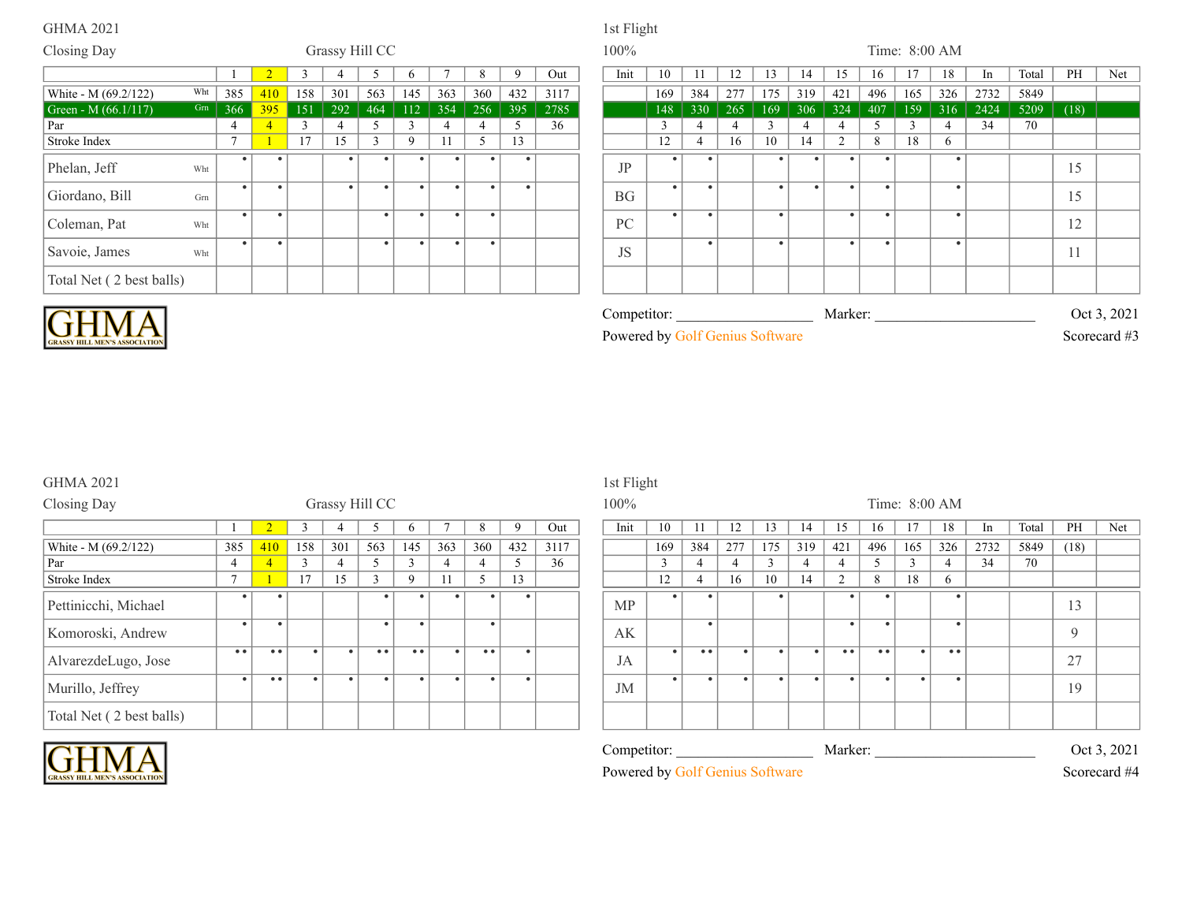### Closing Day **Grassy Hill CC** 100% Time: 8:00 AM 1 2 3 4 5 6 7 8 9 Out Init 10 11 12 13 14 15 16 17 18 In Total PH Net Note 1 385 410 158 301 563 145 363 360 432 3117<br>
384 277 175 319 421 496 165 326 2732 5849<br>
384 277 175 319 421 496 165 326 2732 5849 366 395 151 292 464 112 354 256 395 2785 148 330 265 169 306 324 407 159 316 2424 5209 (18) Par 4 4 3 4 5 3 4 4 5 36 3 4 4 3 4 4 5 3 4 34 70 Stroke Index 7 1 17 15 3 9 11 5 13 12 4 16 10 14 2 8 18 6 White - M (69.2/122) White<br>Green - M (66.1/117) Gm Green - M  $(66.1/117)$ Phelan, Jeff Wht **1** 17 15 3 9 11 5 13 JP . . . . . . . Giordano, Bill Grn . . . . . . . . BG . . . . . . . Coleman, Pat Wht . . . . . . PC . . . . . . Savoie, James Wht . . . . . . JS . . . . . Total Net ( 2 best balls)



| <b>FRASSY HILL MEN'S ASSOCIATION</b> |  |
|--------------------------------------|--|

|    | Powered by Golf Genius Software |  |  |         |  |  |                      | Scorecard #3 |
|----|---------------------------------|--|--|---------|--|--|----------------------|--------------|
|    | Competitor:                     |  |  | Marker: |  |  |                      | Oct 3, 2021  |
|    |                                 |  |  |         |  |  |                      |              |
| JS |                                 |  |  |         |  |  |                      |              |
| PC |                                 |  |  |         |  |  | $\overline{1}$<br>⊥∠ |              |

15

15

### GHMA 2021 1st Flight

| Closing Day              |                |                                               |        |           | Grassy Hill CC |                  |           |           |           |      | 100%      |           |           |                |     |           |                |           | Time: 8:00 AM |     |      |      |
|--------------------------|----------------|-----------------------------------------------|--------|-----------|----------------|------------------|-----------|-----------|-----------|------|-----------|-----------|-----------|----------------|-----|-----------|----------------|-----------|---------------|-----|------|------|
|                          |                |                                               |        |           |                |                  |           | 8         |           | Out  | Init      | 10        |           | 12             | 13  | 14        | 15             | 16        |               | 18  | 1n   | Tota |
| White - M (69.2/122)     | 385            | 410                                           | 158    | 301       | 563            | 145              | 363       | 360       | 432       | 3117 |           | 169       | 384       | 277            | 175 | 319       | 421            | 496       | 165           | 326 | 2732 | 584  |
| Par                      | $\overline{4}$ | $\overline{4}$                                | $\sim$ |           |                | $\sim$           |           | 4         |           | 36   |           |           | 4         | $\overline{4}$ |     |           | 4              |           | $\sim$        |     | 34   | 70   |
| Stroke Index             | $\mathbf{r}$   |                                               | 17     | 15        |                | $\mathbf Q$      |           | 5         | 13        |      |           | 12        | 4         | 16             | 10  | 14        | $\overline{2}$ | 8         | 18            | 6   |      |      |
| Pettinicchi, Michael     | ٠              |                                               |        |           |                |                  |           |           |           |      | <b>MP</b> |           |           |                |     |           |                |           |               |     |      |      |
| Komoroski, Andrew        | $\bullet$      |                                               |        |           | $\bullet$      |                  |           | $\bullet$ |           |      | AK        |           | $\bullet$ |                |     |           |                | $\bullet$ |               | ٠   |      |      |
| AlvarezdeLugo, Jose      | • •            | • •                                           |        | $\bullet$ | • •            | $\bullet\bullet$ | $\bullet$ | • •       | $\bullet$ |      | JA        | $\bullet$ | • •       | $\bullet$      |     | $\bullet$ | • •            | • •       | $\bullet$     | • • |      |      |
| Murillo, Jeffrey         | $\bullet$      | $\bullet\hspace{0.1cm} \bullet\hspace{0.1cm}$ |        | $\bullet$ | $\bullet$      |                  | ٠         | $\bullet$ |           |      | JM        | - 40      | $\bullet$ | $\bullet$      |     |           |                | -4        | $\bullet$     |     |      |      |
| Total Net (2 best balls) |                |                                               |        |           |                |                  |           |           |           |      |           |           |           |                |     |           |                |           |               |     |      |      |

|                |                  |              |           |                |                  |           |                     |           |      | $\tilde{}$                      |               |           |           |                 |           |                     |                  |           |               |      |       |      |              |
|----------------|------------------|--------------|-----------|----------------|------------------|-----------|---------------------|-----------|------|---------------------------------|---------------|-----------|-----------|-----------------|-----------|---------------------|------------------|-----------|---------------|------|-------|------|--------------|
|                |                  |              |           | Grassy Hill CC |                  |           |                     |           |      | 100%                            |               |           |           |                 |           |                     |                  |           | Time: 8:00 AM |      |       |      |              |
|                |                  |              |           |                | $\mathbf{p}$     |           |                     | 9         | Out  | Init                            | 10            |           | 12        | 13 <sub>1</sub> | 14        | 15 <sup>2</sup>     | 16               |           | 18            | In   | Total | PH   | Net          |
| 385            | 410              | 158          | 301       | 563            | 145              | 363       | 360                 | 432       | 3117 |                                 | 169           | 384       | 277       | 175             | 319       | 421                 | 496              | 165       | 326           | 2732 | 5849  | (18) |              |
| $\overline{4}$ |                  | $\mathbf{3}$ | 4         | 5              | $\overline{3}$   |           |                     | 5         | 36   |                                 | $\mathcal{R}$ |           | 4         | 3               | 4         | $\overline{4}$      | 5                | 3         |               | 34   | 70    |      |              |
| $\overline{ }$ |                  | 17           | 15        | 3              | 9                | 11        | 5                   | 13        |      |                                 | 12            |           | 16        | 10              | 14        | $\overline{2}$      | 8                | 18        | 6             |      |       |      |              |
|                |                  |              |           |                |                  |           |                     | ٠         |      | MP                              |               |           |           |                 |           |                     |                  |           |               |      |       | 13   |              |
|                |                  |              |           | $\bullet$      | ٠                |           | $\bullet$           |           |      | AK                              |               | $\bullet$ |           |                 |           |                     | ٠                |           |               |      |       | Q    |              |
| • •            | $^{\circ}$       | $\bullet$    |           | • •            | $\bullet\bullet$ | $\bullet$ | $\bullet$ $\bullet$ | $\bullet$ |      | JA                              | $\bullet$     | • •       | ٠         | $\bullet$       | $\bullet$ | $\bullet$ $\bullet$ | $\bullet\bullet$ | $\bullet$ | • •           |      |       | 27   |              |
| $\bullet$      | $\bullet\bullet$ | $\bullet$    | $\bullet$ | $\bullet$      |                  | ٠         | $\bullet$           | $\bullet$ |      | JM                              | $\bullet$     | $\bullet$ | $\bullet$ | - 4             |           | $\bullet$           | ٠                | $\bullet$ |               |      |       | 19   |              |
|                |                  |              |           |                |                  |           |                     |           |      |                                 |               |           |           |                 |           |                     |                  |           |               |      |       |      |              |
|                |                  |              |           |                |                  |           |                     |           |      | Competitor:                     |               |           |           |                 |           | Marker:             |                  |           |               |      |       |      | Oct 3, 2021  |
|                |                  |              |           |                |                  |           |                     |           |      | Powered by Golf Genius Software |               |           |           |                 |           |                     |                  |           |               |      |       |      | Scorecard #4 |

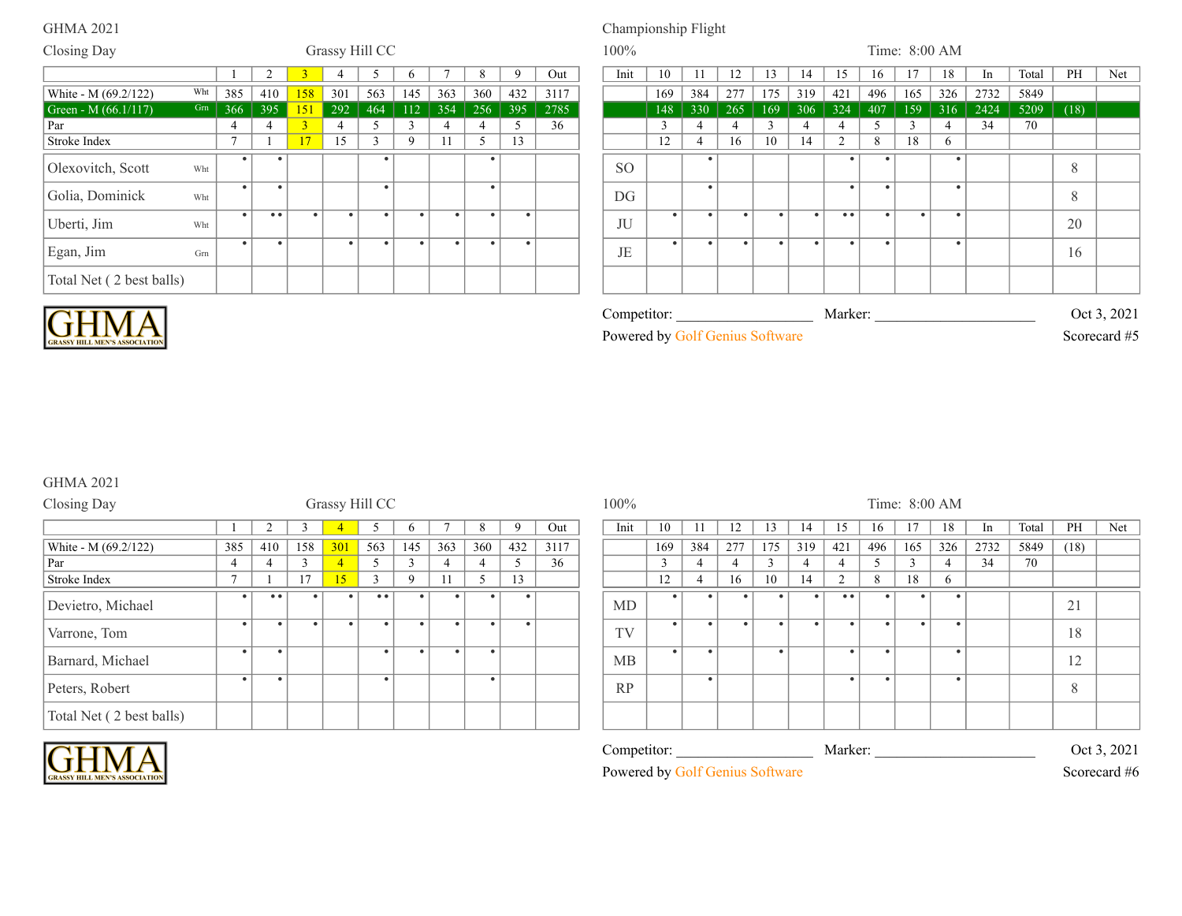# GHMA 2021 Championship Flight

| Closing Day              |     |           |                  |           |           | Grassy Hill CC     |     |     |           |           |      | $100\%$       |     |     |           |           |           |                  |           | Time: 8:00 AM |              |      |       |      |             |
|--------------------------|-----|-----------|------------------|-----------|-----------|--------------------|-----|-----|-----------|-----------|------|---------------|-----|-----|-----------|-----------|-----------|------------------|-----------|---------------|--------------|------|-------|------|-------------|
|                          |     |           | $\overline{2}$   |           |           |                    |     |     | 8         |           | Out  | Init          | 10  |     | 12        | 13        | 14        | 15               | 16        | 17            | 18           | 1n   | Total | PH   | Net         |
| White - M (69.2/122)     | Wht | 385       | 410              | 158       | 301       | 563                | 145 | 363 | 360       | 432       | 3117 |               | 169 | 384 | 277       | 175       | 319       | 421              | 496       | 165           | 326          | 2732 | 5849  |      |             |
| Green - M $(66.1/117)$   | Grn | 366       | 395              | 151       | 292       | 464                | 112 | 354 | 256       | 395       | 2785 |               | 148 | 330 | 265       | 169       | 306       | 324              | 407       | 159           | 316          | 2424 | 5209  | (18) |             |
| Par                      |     |           |                  | 3         |           |                    |     |     | 4         |           | 36   |               |     |     |           |           |           |                  |           |               |              | 34   | 70    |      |             |
| Stroke Index             |     |           |                  | 17        | 15        | $\sim$<br>$\Delta$ | 9   | 11  | 5         | 13        |      |               | 12  |     | 16        | 10        | 14        | $\overline{2}$   | 8         | 18            | $\mathsf{h}$ |      |       |      |             |
| Olexovitch, Scott        | Wht |           |                  |           |           |                    |     |     |           |           |      | <sub>SO</sub> |     |     |           |           |           |                  |           |               |              |      |       | 8    |             |
| Golia, Dominick          | Wht | $\bullet$ |                  |           |           |                    |     |     |           |           |      | DG            |     |     |           |           |           |                  | $\bullet$ |               | $\bullet$    |      |       | 8    |             |
| Uberti, Jim              | Wht |           | $\bullet\bullet$ | $\bullet$ | $\bullet$ |                    |     |     | $\bullet$ | $\bullet$ |      | JU            |     |     | $\bullet$ | $\bullet$ | $\bullet$ | $\bullet\bullet$ | $\bullet$ |               | $\bullet$    |      |       | 20   |             |
| Egan, Jim                | Grn |           |                  |           | $\bullet$ |                    |     |     |           |           |      | JE            |     |     |           |           |           |                  |           |               |              |      |       | 16   |             |
| Total Net (2 best balls) |     |           |                  |           |           |                    |     |     |           |           |      |               |     |     |           |           |           |                  |           |               |              |      |       |      |             |
| LIN<br>$\mathbf{A}$      |     |           |                  |           |           |                    |     |     |           |           |      | Competitor:   |     |     |           |           |           | Marker:          |           |               |              |      |       |      | Oct 3, 2021 |



| <b>GRASSY HILL MEN'S ASSOCIATIO</b> |
|-------------------------------------|

| Powered by Golf Genius Software |
|---------------------------------|
|---------------------------------|

Scorecard #5

# GHMA 2021

| Closing Day              |              |           |        | Grassy Hill CC |     |        |     |           |     |      | 100% |           |                |           |        |     |                  |     | Time: 8:00 AM |           |      |       |      |     |
|--------------------------|--------------|-----------|--------|----------------|-----|--------|-----|-----------|-----|------|------|-----------|----------------|-----------|--------|-----|------------------|-----|---------------|-----------|------|-------|------|-----|
|                          |              |           |        |                |     | n      |     | Δ.        | q   | Out  | Init | 10        |                | 12        | 13     | 14  | 15               | 16  | -17           | 18        | -In  | Total | PH   | Net |
| White - M (69.2/122)     | 385          | 410       | 158    | 301            | 563 | 145    | 363 | 360       | 432 | 3117 |      | 169       | 384            | 277       | 175    | 319 | 421              | 496 | 165           | 326       | 2732 | 5849  | (18) |     |
| Par                      | 4            |           | $\sim$ | $\overline{4}$ |     | $\sim$ |     |           |     | 36   |      | $\sim$    | $\overline{4}$ |           | $\sim$ |     |                  |     | $\sim$        |           | 34   | 70    |      |     |
| Stroke Index             | $\mathbf{r}$ |           | 17     | 15             |     | 9      | 11  |           | 13  |      |      | 12        | 4              | 16        | 10     | 14  | $\sim$           | 8   | 18            | 6.        |      |       |      |     |
| Devietro, Michael        |              | • •       |        | $\bullet$      | • • |        |     | ٠         |     |      | MD   | $\bullet$ | ٠              |           |        |     | $\bullet\bullet$ |     |               | $\bullet$ |      |       | 21   |     |
| Varrone, Tom             |              | $\bullet$ |        | $\bullet$      |     |        |     | ٠         |     |      | TV   | $\bullet$ |                | $\bullet$ |        |     | $\bullet$        |     |               | $\bullet$ |      |       | 18   |     |
| Barnard, Michael         |              |           |        |                |     |        |     | $\bullet$ |     |      | MB   | $\bullet$ |                |           |        |     | $\bullet$        |     |               | $\bullet$ |      |       | 12   |     |
| Peters, Robert           |              | $\bullet$ |        |                |     |        |     | $\bullet$ |     |      | RP   |           | ٠              |           |        |     | $\bullet$        |     |               | $\bullet$ |      |       | 8    |     |
| Total Net (2 best balls) |              |           |        |                |     |        |     |           |     |      |      |           |                |           |        |     |                  |     |               |           |      |       |      |     |



Competitor: \_\_\_\_\_\_\_\_\_\_\_\_\_\_\_\_\_\_\_\_\_\_\_\_\_\_\_\_\_\_\_\_\_\_\_\_\_\_\_\_\_\_\_\_\_\_\_\_\_\_\_\_\_\_\_\_\_\_\_\_\_\_\_\_\_\_\_\_\_\_\_\_\_\_\_ Marker: \_\_\_\_\_\_\_\_\_\_\_\_\_\_\_\_\_\_\_\_\_\_\_\_\_\_\_\_\_\_\_\_\_\_\_\_\_\_\_\_\_\_\_\_\_\_\_\_\_\_\_\_\_\_\_\_\_\_\_\_\_\_\_\_\_\_\_\_\_\_\_\_\_\_\_ Oct 3, 2021 Powered by Golf Genius Software Scorecard #6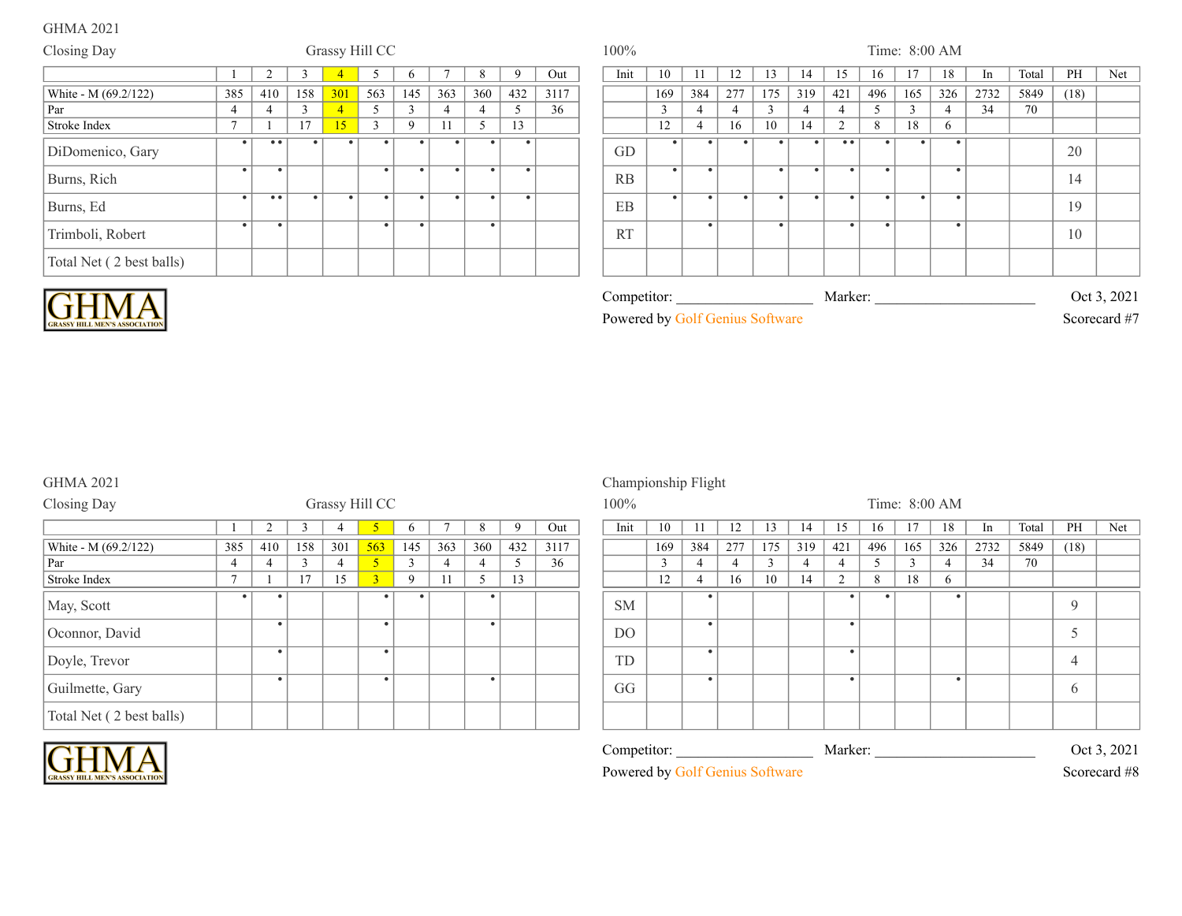| Closing Day              |                |                    |           | Grassy Hill CC |           |              |                |           |              |      | 100%      |           |                |           |        |           |                     |           | Time: 8:00 AM |     |      |       |      |     |
|--------------------------|----------------|--------------------|-----------|----------------|-----------|--------------|----------------|-----------|--------------|------|-----------|-----------|----------------|-----------|--------|-----------|---------------------|-----------|---------------|-----|------|-------|------|-----|
|                          |                |                    |           |                |           | <sub>0</sub> |                | 8         | $\mathbf{Q}$ | Out  | Init      | 10        |                | 12        | 13     |           | 15                  | 16        |               | 18  | In   | Total | PH   | Net |
| White - M (69.2/122)     | 385            | 410                | 158       | 301            | 563       | 145          | 363            | 360       | 432          | 3117 |           | 169       | 384            | 277       | 175    | 319       | 421                 | 496       | 165           | 326 | 2732 | 5849  | (18) |     |
| Par                      | 4              | $\overline{4}$     |           | $\overline{4}$ |           | $\sim$       | $\overline{4}$ |           |              | 36   |           | $\sim$    | $\overline{4}$ |           | $\sim$ | 4         |                     |           |               |     | 34   | 70    |      |     |
| Stroke Index             | $\overline{ }$ |                    | 17        | 15             | $\sim$    | 9            | 11             |           | 13           |      |           | 12        | $\overline{4}$ | 16        | 10     | 14        | $\bigcap$           | 8         | 18            | 6   |      |       |      |     |
| DiDomenico, Gary         | $\bullet$      | $\bullet\;\bullet$ |           |                |           |              |                | ٠         |              |      | GD        |           |                | ٠         |        |           | $\bullet$ $\bullet$ |           |               |     |      |       | 20   |     |
| Burns, Rich              |                |                    |           |                | $\bullet$ |              |                | $\bullet$ |              |      | RB        | $\bullet$ |                |           |        | $\bullet$ |                     |           |               |     |      |       | 14   |     |
| Burns, Ed                | $\bullet$      | $^{\circ}$         | $\bullet$ | $\bullet$      | $\bullet$ |              | $\bullet$      | $\bullet$ |              |      | EB        | $\bullet$ | $\bullet$      | $\bullet$ |        | $\bullet$ |                     | $\bullet$ | $\bullet$     |     |      |       | 19   |     |
| Trimboli, Robert         |                |                    |           |                |           |              |                | $\bullet$ |              |      | <b>RT</b> |           |                |           |        |           |                     |           |               |     |      |       | 10   |     |
| Total Net (2 best balls) |                |                    |           |                |           |              |                |           |              |      |           |           |                |           |        |           |                     |           |               |     |      |       |      |     |



| Competitor:  |
|--------------|
| Powered by C |

Competitor: \_\_\_\_\_\_\_\_\_\_\_\_\_\_\_\_\_\_\_\_\_\_\_\_\_\_\_\_\_\_\_\_\_\_\_\_\_\_\_\_\_\_\_\_\_\_\_\_\_\_\_\_\_\_\_\_\_\_\_\_\_\_\_\_\_\_\_\_\_\_\_\_\_\_\_ Marker: \_\_\_\_\_\_\_\_\_\_\_\_\_\_\_\_\_\_\_\_\_\_\_\_\_\_\_\_\_\_\_\_\_\_\_\_\_\_\_\_\_\_\_\_\_\_\_\_\_\_\_\_\_\_\_\_\_\_\_\_\_\_\_\_\_\_\_\_\_\_\_\_\_\_\_ Oct 3, 2021

# **Post Genius Software Scorecard #7**

### GHMA 2021 Championship Flight

| Closing Day              |                |           |     |                | Grassy Hill CC |             |     |     |     |      | $100\%$   |     |           |     |     |     |           |     |     | Time: 8:00 AM |      |      |
|--------------------------|----------------|-----------|-----|----------------|----------------|-------------|-----|-----|-----|------|-----------|-----|-----------|-----|-----|-----|-----------|-----|-----|---------------|------|------|
|                          |                |           |     |                |                |             |     |     |     | Out  | Init      | 10  |           | 12  | 3   | 14  | 15        | 16  |     | 18            | 1n   | Tota |
| White - M (69.2/122)     | 385            | 410       | 158 | 301            | 563            | 145         | 363 | 360 | 432 | 3117 |           | 169 | 384       | 277 | 175 | 319 | 421       | 496 | 165 | 326           | 2732 | 584  |
| Par                      | 4              | 4         |     | $\overline{4}$ | $\overline{5}$ |             | 4   |     |     | 36   |           |     |           |     |     | 4   |           |     |     |               | 34   | 70   |
| Stroke Index             | $\overline{ }$ |           | 17  | 15             | $\overline{3}$ | $\mathbf Q$ | 11  |     | 13  |      |           | 12  | 4         | 16  | 10  | 14  | $\bigcap$ | 8   | 18  | 6             |      |      |
| May, Scott               |                | $\bullet$ |     |                | $\bullet$      |             |     | ٠   |     |      | <b>SM</b> |     | $\bullet$ |     |     |     |           |     |     |               |      |      |
| Oconnor, David           |                |           |     |                |                |             |     |     |     |      | DO        |     |           |     |     |     |           |     |     |               |      |      |
| Doyle, Trevor            |                |           |     |                | $\bullet$      |             |     |     |     |      | TD        |     |           |     |     |     |           |     |     |               |      |      |
| Guilmette, Gary          |                |           |     |                | $\bullet$      |             |     | ٠   |     |      | GG        |     |           |     |     |     |           |     |     |               |      |      |
| Total Net (2 best balls) |                |           |     |                |                |             |     |     |     |      |           |     |           |     |     |     |           |     |     |               |      |      |

### Competitor: \_\_\_\_\_\_\_\_\_\_\_\_\_\_\_\_\_\_\_\_\_\_\_\_\_\_\_\_\_\_\_\_\_\_\_\_\_\_\_\_\_\_\_\_\_\_\_\_\_\_\_\_\_\_\_\_\_\_\_\_\_\_\_\_\_\_\_\_\_\_\_\_\_\_\_ Marker: \_\_\_\_\_\_\_\_\_\_\_\_\_\_\_\_\_\_\_\_\_\_\_\_\_\_\_\_\_\_\_\_\_\_\_\_\_\_\_\_\_\_\_\_\_\_\_\_\_\_\_\_\_\_\_\_\_\_\_\_\_\_\_\_\_\_\_\_\_\_\_\_\_\_\_ Oct 3, 2021 Powered by Golf Genius Software Scorecard #8 1 1 1 3 4 5 6 7 7 8 10 12 8 7 0 14 15 16 17 18 10 17 18 10 17 18 10 17 18 17 18 17 18 17 18 17 18 17 18 17 18 1 169 384 277 175 319 421 496 165 326 2732 5849 (18) SM 16 10 14 2 8 18 6 9 DO . . 5 TD . . 4 GG . . . 6

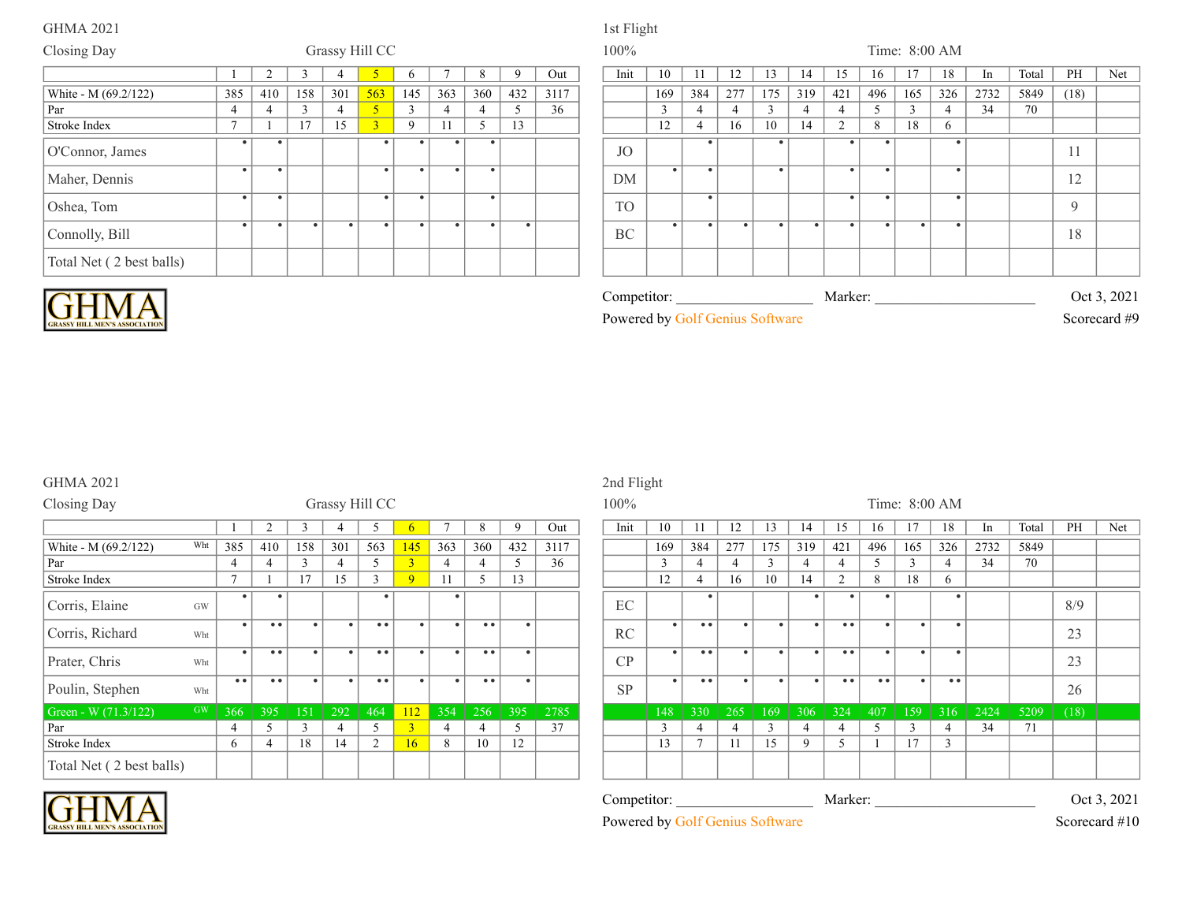Oshea, Tom

Connolly, Bill

### Closing Day Grassy Hill CC 100% Time: 8:00 AM 1 2 3 4 5 6 7 8 9 Out Init 10 11 12 13 14 15 16 17 18 In Total PH Net 385 | 410 | 158 | 301 <mark>| 563</mark> | 145 | 363 | 360 | 432 | 3117 | | | | | | | | 169 | 384 | 277 | 175 | 319 | 421 | 496 | 165 | 326 | 2732 | 5849 | (18) Par 4 4 4 3 4 5 3 4 4 5 3 6 7 3 4 4 5 3 4 4 4 5 3 4 4 5 3 4 5 3 4 5 3 4 5 4 70 Stroke Index 7 1 17 15 3 9 11 5 13 12 4 16 10 14 2 8 18 6 White - M  $(69.2/122)$ O'Connor, James 1 17 15 3 9 11 5<br> **1** 17 15 3 9 11 5 JO Maher, Dennis . . . . . . . . . . .

. . . . . . . . .

|                                 | 169       | 384       | 277 | 175           | 319 | 421            | 496       | 165 | 326 | 2732    | 5849 | (18) |              |
|---------------------------------|-----------|-----------|-----|---------------|-----|----------------|-----------|-----|-----|---------|------|------|--------------|
|                                 | 3         | 4         | 4   | $\mathcal{L}$ | 4   | 4              | 5         | 3   | 4   | 34      | 70   |      |              |
|                                 | 12        | 4         | 16  | 10            | 14  | $\overline{2}$ | 8         | 18  | 6   |         |      |      |              |
| <b>JO</b>                       |           | ٠         |     |               |     |                | ٠         |     |     |         |      | 11   |              |
| DM                              | $\bullet$ | ٠         |     | $\bullet$     |     | ٠              | $\bullet$ |     | ٠   |         |      | 12   |              |
| <b>TO</b>                       |           | ٠         |     |               |     | $\bullet$      | $\bullet$ |     | ٠   |         |      | 9    |              |
| $\operatorname{BC}$             |           | $\bullet$ | ٠   |               |     |                | ٠         |     | ٠   |         |      | 18   |              |
|                                 |           |           |     |               |     |                |           |     |     |         |      |      |              |
| Competitor:                     |           |           |     |               |     |                |           |     |     | Marker: |      |      | Oct 3, 2021  |
| Powered by Golf Genius Software |           |           |     |               |     |                |           |     |     |         |      |      | Scorecard #9 |



| <b>GRASSY HILL MEN'S ASSOCIATIO</b> |
|-------------------------------------|

Total Net ( 2 best balls)

## GHMA 2021 2nd Flight

| Closing Day              |           |           |                |              | Grassy Hill CC |                          |                |           |     |     |      | $100\%$   |           |                     |                |           |           |                |                  | Time: 8:00 AM |           |      |      |
|--------------------------|-----------|-----------|----------------|--------------|----------------|--------------------------|----------------|-----------|-----|-----|------|-----------|-----------|---------------------|----------------|-----------|-----------|----------------|------------------|---------------|-----------|------|------|
|                          |           |           |                |              |                |                          | $\sigma$       |           | 8   | 9   | Out  | Init      | 10        |                     | 12             | 13        | 14        | 15             | 16               |               | 18        | In.  | Tota |
| White - M (69.2/122)     | Wht       | 385       | 410            | 158          | 301            | 563                      | 145            | 363       | 360 | 432 | 3117 |           | 169       | 384                 | 277            | 175       | 319       | 421            | 496              | 165           | 326       | 2732 | 584  |
| Par                      |           | 4         | 4              | $\mathbf{3}$ |                | $\overline{\mathcal{L}}$ | 3 <sup>1</sup> |           | 4   | 5   | 36   |           | 3         | 4                   | 4              | $\sim$    | 4         | 4              |                  | $\mathbf 3$   |           | 34   | 70   |
| Stroke Index             |           |           |                | 17           | 15             |                          | $\mathbf{Q}$   | 11        | 5   | 13  |      |           | 12        | 4                   | 16             | 10        | 14        | $\overline{2}$ | 8                | 18            | 6         |      |      |
| Corris, Elaine           | GW        | $\bullet$ | $\bullet$      |              |                |                          |                | ٠         |     |     |      | EC        |           |                     |                |           | $\bullet$ |                |                  |               | $\bullet$ |      |      |
| Corris, Richard          | Wht       | $\bullet$ | • •            |              | $\bullet$      | • •                      |                | $\bullet$ | • • |     |      | RC        |           | $\bullet$ $\bullet$ |                |           | $\bullet$ | • •            |                  |               |           |      |      |
| Prater, Chris            | Wht       | $\bullet$ | • •            | $\bullet$    | $\bullet$      | • •                      |                | $\bullet$ | • • |     |      | CP        | $\bullet$ | $\bullet\bullet$    | $\bullet$      | $\bullet$ | $\bullet$ | • •            | $\bullet$        | $\bullet$     | $\bullet$ |      |      |
| Poulin, Stephen          | Wht       | • •       | • •            |              | $\bullet$      | • •                      |                | $\bullet$ | • • |     |      | <b>SP</b> | $\bullet$ | • •                 |                | $\bullet$ | $\bullet$ | • •            | $\bullet\bullet$ | $\bullet$     | • •       |      |      |
| Green - W (71.3/122)     | <b>GW</b> | 366       | 395            | 151          | 292            | 464                      | 112            | 354       | 256 | 395 | 2785 |           | 148       | 330                 | 265            | 169       | 306       | 324            | 407              | 159           | 316       | 2424 | 520  |
| Par                      |           | 4         | 5              | $\mathbf{3}$ | 4              | $\overline{\mathcal{L}}$ | $\overline{3}$ | 4         | 4   | 5.  | 37   |           | 3         | 4                   | $\overline{4}$ |           | 4         | 4              | $\mathcal{L}$    | $\sim$        | 4         | 34   | 71   |
| Stroke Index             |           | 6         | $\overline{4}$ | 18           | 14             | $\overline{2}$           | 16             | 8         | 10  | 12  |      |           | 13        | $\mathbf{\tau}$     | 11             | 15        | 9         | 5              |                  | 17            | 3         |      |      |
| Total Net (2 best balls) |           |           |                |              |                |                          |                |           |     |     |      |           |           |                     |                |           |           |                |                  |               |           |      |      |

|                  |                     | $\Delta$  |           | $\mathcal{L}$ | $\sigma$       |                | 8                                             | 9         | Out  | Init                            | 10        |                  | 12        | 13                      | 14        | 15               | 16                                            | 17        | 18             | In   | Total | PH   | Net           |
|------------------|---------------------|-----------|-----------|---------------|----------------|----------------|-----------------------------------------------|-----------|------|---------------------------------|-----------|------------------|-----------|-------------------------|-----------|------------------|-----------------------------------------------|-----------|----------------|------|-------|------|---------------|
| 385              | 410                 | 158       | 301       | 563           | 145            | 363            | 360                                           | 432       | 3117 |                                 | 169       | 384              | 277       | 175                     | 319       | 421              | 496                                           | 165       | 326            | 2732 | 5849  |      |               |
| 4                |                     | 3         | 4         | 5             | $\overline{3}$ | $\overline{4}$ |                                               | 5         | 36   |                                 | 3         |                  | 4         | $\sim$<br>$\mathfrak z$ | 4         | -4               | 5                                             | 3         |                | 34   | 70    |      |               |
| $\overline{ }$   |                     | 17        | 15        | 3             | 9              | 11             | 5                                             | 13        |      |                                 | 12        | $\overline{4}$   | 16        | 10                      | 14        | $\overline{2}$   | 8                                             | 18        | $\sigma$       |      |       |      |               |
| $\bullet$        |                     |           |           |               |                | ٠              |                                               |           |      | $\operatorname{EC}$             |           |                  |           |                         |           |                  | ٠                                             |           |                |      |       | 8/9  |               |
| $\bullet$        | $^{\circ}$          | $\bullet$ | $\bullet$ | • •           | $\bullet$      | $\bullet$      | $\bullet\bullet$                              | $\bullet$ |      | RC                              | $\bullet$ | $\bullet\bullet$ | $\bullet$ | $\bullet$               | $\bullet$ | • •              | $\bullet$                                     | $\bullet$ |                |      |       | 23   |               |
| $\bullet$        | $\bullet$ $\bullet$ | $\bullet$ |           | • •           | $\bullet$      | $\bullet$      | $\bullet$ $\bullet$                           | $\bullet$ |      | CP                              | $\bullet$ | • •              | $\bullet$ | $\bullet$               | $\bullet$ | $\bullet\bullet$ | $\bullet$                                     | $\bullet$ |                |      |       | 23   |               |
| $\bullet\bullet$ | $\bullet$ $\bullet$ | $\bullet$ | $\bullet$ | $\bullet$     | $\bullet$      | $\bullet$      | $\bullet\hspace{0.1cm} \bullet\hspace{0.1cm}$ | $\bullet$ |      | <b>SP</b>                       | $\bullet$ | $\bullet\bullet$ | $\bullet$ | $\bullet$               | $\bullet$ | $\bullet\bullet$ | $\bullet\hspace{0.1cm} \bullet\hspace{0.1cm}$ | $\bullet$ | $ -$           |      |       | 26   |               |
| 366              | 395                 | 151       | 292       | 464           | 112            | 354            | 256                                           | 395       | 2785 |                                 | 148       | 330              | 265       | 169                     | 306       | 324              | 407                                           | 159       | 316            | 2424 | 5209  | (18) |               |
| 4                | $\varsigma$         | 3         | 4         | 5             |                | 4              | $\overline{4}$                                | 5         | 37   |                                 | 3         |                  | 4         | 3                       | 4         | $\overline{4}$   | 5                                             | 3         | $\overline{4}$ | 34   | 71    |      |               |
| 6                |                     | 18        | 14        | 2             | 16             | 8              | 10                                            | 12        |      |                                 | 13        | $\overline{ }$   | 11        | 15                      | 9         | 5                |                                               | 17        | $\mathbf{3}$   |      |       |      |               |
|                  |                     |           |           |               |                |                |                                               |           |      |                                 |           |                  |           |                         |           |                  |                                               |           |                |      |       |      |               |
|                  |                     |           |           |               |                |                |                                               |           |      | Competitor:                     |           |                  |           |                         |           | Marker:          |                                               |           |                |      |       |      | Oct 3, 2021   |
|                  |                     |           |           |               |                |                |                                               |           |      | Powered by Golf Genius Software |           |                  |           |                         |           |                  |                                               |           |                |      |       |      | Scorecard #10 |

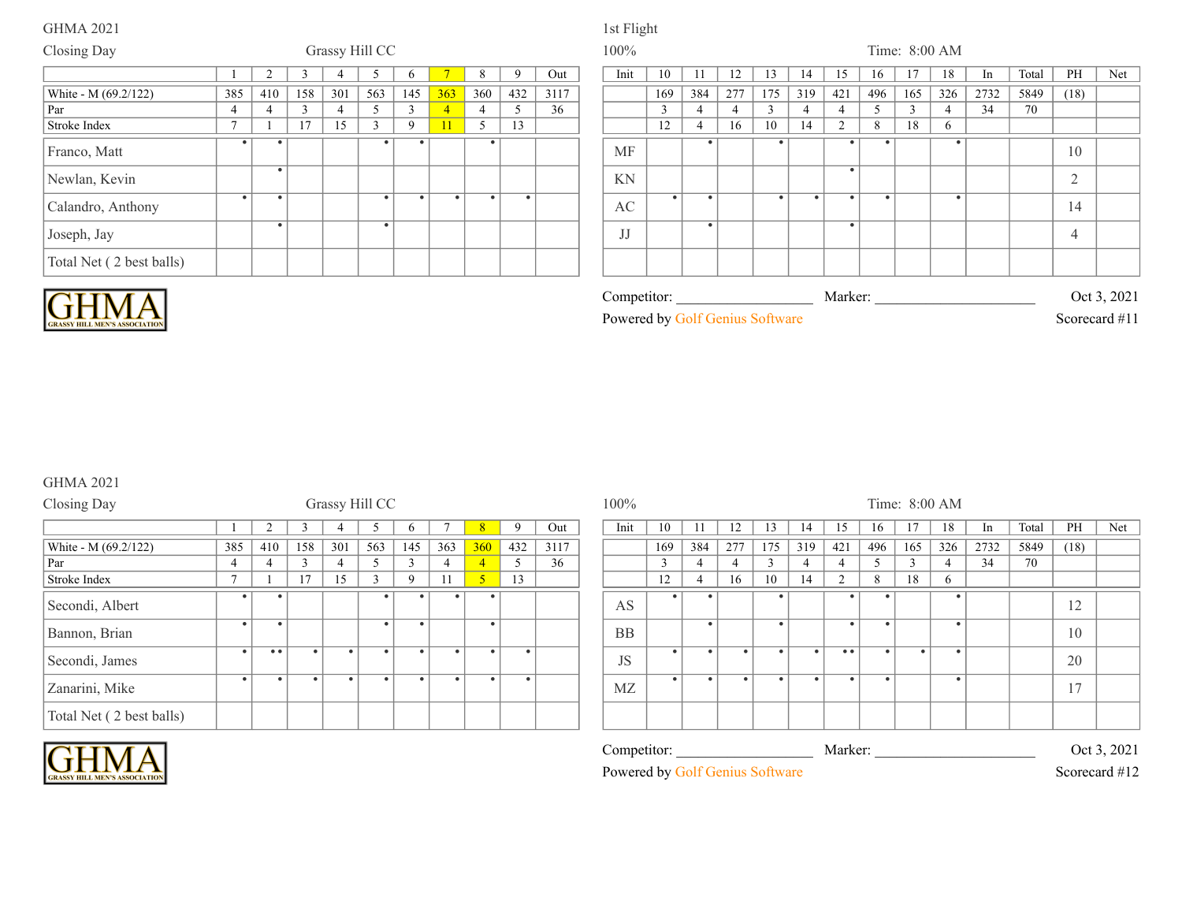### Closing Day **Grassy Hill CC** 100% Time: 8:00 AM 1 2 3 4 5 6 7 8 9 Out | Init | 10 | 11 | 12 | 13 | 14 | 15 | 16 | 17 | 18 | In | Total | PH | Net 385 | 410 | 158 | 301 | 563 | 145 <mark>| 363 |</mark> 360 | 432 | 3117 | | | 169 | 384 | 277 | 175 | 319 | 421 | 496 | 165 | 326 | 2732 | 5849 | (18) Par 4 4 3 4 5 3 4 4 5 36 3 4 4 3 4 4 5 3 4 34 70 Stroke Index 7 1 17 15 3 9 11 5 13 12 4 16 10 14 2 8 18 6 White - M (69.2/122) Franco, Matt . . . . . MF . . . . . 10 Newlan, Kevin . KN . 2 Calandro, Anthony . . . . . . . AC . . . . . . . 14 Joseph, Jay .  $\begin{array}{|c|c|c|c|c|}\hline \rule{0pt}{1ex}\quad \quad & \quad \quad & \quad \quad & \quad \quad \\hline \rule{0pt}{1ex}\quad \quad & \quad \quad & \quad \quad & \quad \quad \\hline \rule{0pt}{1ex}\quad \quad & \quad \quad & \quad \quad & \quad \quad \\hline \rule{0pt}{1ex}\quad \quad & \quad \quad & \quad \quad & \quad \quad \\hline \rule{0pt}{1ex}\quad \quad & \quad \quad & \quad \quad & \quad \quad \\hline \rule{0pt}{1ex}\quad \quad & \quad \quad & \quad \quad & \quad \quad \\hline \rule{0pt}{1ex}\quad \quad & \quad \quad & \$ JJ . . 4 Total Net ( 2 best balls)



| -<br>$\mathcal{L}$ ompetitor                    | Marker <sup>.</sup> | $\mathbf{a}\mathbf{a}$<br>Jet<br>ZUZ.<br>. . |
|-------------------------------------------------|---------------------|----------------------------------------------|
| $\mathbf{r}$<br>Powered<br>mms<br>hv<br>offware |                     | . .<br>scorecard                             |

### GHMA 2021

| Closing Day              |                |     |        |           | Grassy Hill CC |          |           |                |     |      | 100%      |        |     |     |     |     |           |           |           | Time: 8:00 AM |      |      |
|--------------------------|----------------|-----|--------|-----------|----------------|----------|-----------|----------------|-----|------|-----------|--------|-----|-----|-----|-----|-----------|-----------|-----------|---------------|------|------|
|                          |                |     |        |           |                | n        |           |                |     | Out  | Init      | 10     |     | 12  | 13  | 14  | 15        | 16        |           | 18            | 1n   | Tota |
| White - M (69.2/122)     | 385            | 410 | 158    | 301       | 563            | 145      | 363       | <b>360</b>     | 432 | 3117 |           | 169    | 384 | 277 | 175 | 319 | 421       | 496       | 165       | 326           | 2732 | 584  |
| Par                      |                | 4   | $\sim$ |           |                |          |           | $\overline{4}$ |     | 36   |           | $\sim$ | 4   |     |     |     |           |           |           |               | 34   | 70   |
| Stroke Index             | $\overline{a}$ |     | 17     | 15        | $\mathbf{3}$   | $\Omega$ |           | 5 <sup>1</sup> | 13  |      |           | 12     |     | 16  | 10  | 14  | $\bigcap$ | 8         | 18        | 6             |      |      |
| Secondi, Albert          |                |     |        |           |                |          |           | $\bullet$      |     |      | AS        |        |     |     |     |     |           |           |           |               |      |      |
| Bannon, Brian            | $\bullet$      |     |        |           |                |          |           |                |     |      | <b>BB</b> |        |     |     |     |     |           | $\bullet$ |           |               |      |      |
| Secondi, James           | $\bullet$      | • • |        | $\bullet$ |                |          | $\bullet$ | $\bullet$      |     |      | <b>JS</b> |        |     |     |     |     | • •       | $\bullet$ | $\bullet$ |               |      |      |
| Zanarini, Mike           | ٠              |     |        | ٠         |                |          | $\bullet$ |                |     |      | MZ        |        |     |     |     |     |           | - 4       |           |               |      |      |
| Total Net (2 best balls) |                |     |        |           |                |          |           |                |     |      |           |        |     |     |     |     |           |           |           |               |      |      |

### Competitor: Marker:  $\blacksquare$  Marker:  $\blacksquare$  Oct 3, 2021 Powered by Golf Genius Software Scorecard #12 1 2 3 4 5 6 7 8 9 Out | Init 10 11 12 13 14 15 16 17 18 In Total PH Net 385 | 410 | 158 | 301 | 563 | 145 | 363 <mark>| 360 |</mark> 432 | 3117 | | | | | | | | 169 | 384 | 277 | 175 | 319 | 421 | 496 | 165 | 326 | 2732 | 5849 | (18) AS . . . . . . 12 BB . . . . . 10 JS . . . . . .. . . . 20 MZ . . . . . . . . 17

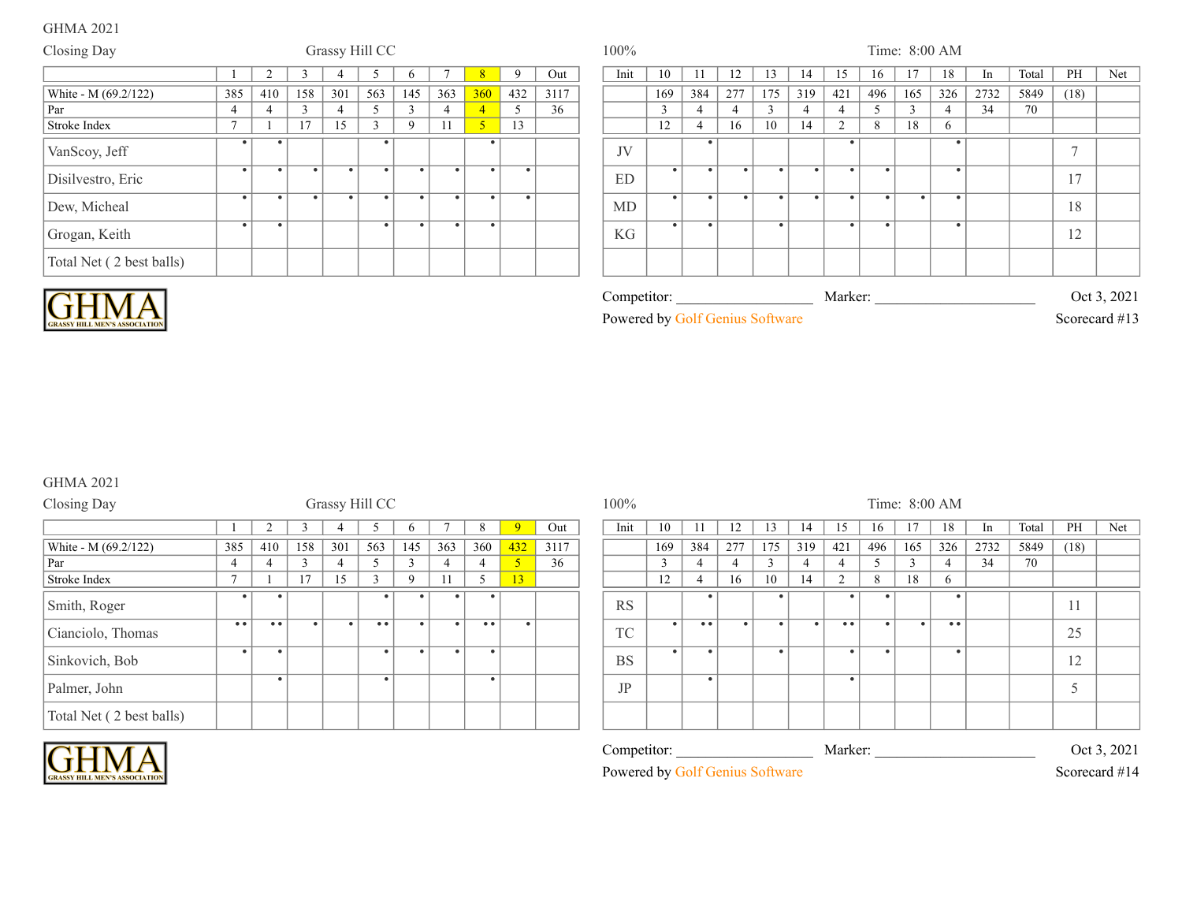| Closing Day              |                |           |        | Grassy Hill CC |           |             |           |           |           |      | 100% |               |     |     |              |           |        |           |           | Time: 8:00 AM  |      |       |      |     |
|--------------------------|----------------|-----------|--------|----------------|-----------|-------------|-----------|-----------|-----------|------|------|---------------|-----|-----|--------------|-----------|--------|-----------|-----------|----------------|------|-------|------|-----|
|                          |                |           |        |                |           |             |           |           | 9         | Out  | Init | 10            |     | 12  |              | 14        |        |           |           | 18             | In   | Total | PH   | Net |
| White - M (69.2/122)     | 385            | 410       | 158    | 301            | 563       | 145         | 363       | 360       | 432       | 3117 |      | 169           | 384 | 277 | 175          | 319       | 421    | 496       | 165       | 326            | 2732 | 5849  | (18) |     |
| Par                      |                |           | $\sim$ | $\overline{4}$ |           | $\sim$      |           |           |           | 36   |      | $\mathcal{E}$ |     |     | $\mathbf{3}$ |           |        |           | $\sim$    | $\overline{4}$ | 34   | 70    |      |     |
| Stroke Index             | $\overline{a}$ |           | 17     | 15             | $\sim$    | $\mathbf Q$ | 11        |           | 13        |      |      | 12            |     | 16  | 10           | 14        | $\sim$ | 8         | 18        | 6              |      |       |      |     |
| VanScoy, Jeff            |                |           |        |                |           |             |           | $\bullet$ |           |      | JV   |               |     |     |              |           |        |           |           | ٠              |      |       |      |     |
| Disilvestro, Eric        |                |           |        |                | ٠         |             |           | $\bullet$ |           |      | ED   |               |     |     |              | $\bullet$ |        |           |           |                |      |       | 17   |     |
| Dew, Micheal             |                | $\bullet$ | - 4    |                | $\bullet$ |             | $\bullet$ | $\bullet$ | $\bullet$ |      | MD   |               |     |     |              | $\bullet$ |        | $\bullet$ | $\bullet$ | $\bullet$      |      |       | 18   |     |
| Grogan, Keith            |                | ٠         |        |                | $\bullet$ |             |           | $\bullet$ |           |      | KG   |               |     |     |              |           |        |           |           | $\bullet$      |      |       | 12   |     |
| Total Net (2 best balls) |                |           |        |                |           |             |           |           |           |      |      |               |     |     |              |           |        |           |           |                |      |       |      |     |



| Competitor:                     | Marker: | Oct 3, 2021   |
|---------------------------------|---------|---------------|
| Powered by Golf Genius Software |         | Scorecard #13 |

# GHMA 2021

| Closing Day              |              |           |        |           | Grassy Hill CC |             |           |     |     |      | 100%      |     |                  |                |     |     |     |     |     | Time: 8:00 AM |      |      |
|--------------------------|--------------|-----------|--------|-----------|----------------|-------------|-----------|-----|-----|------|-----------|-----|------------------|----------------|-----|-----|-----|-----|-----|---------------|------|------|
|                          |              |           |        |           |                | O           |           |     |     | Out  | Init      | 10  |                  | 12             | 13  | 14  | 15  | 16  |     | 18            | 1n   | Tota |
| White - M (69.2/122)     | 385          | 410       | 158    | 301       | 563            | 145         | 363       | 360 | 432 | 3117 |           | 169 | 384              | 277            | 175 | 319 | 421 | 496 | 165 | 326           | 2732 | 584  |
| Par                      | 4            |           | $\sim$ |           |                | $\sim$      |           | 4   |     | 36   |           |     |                  | $\overline{4}$ |     | 4   |     |     |     |               | 34   | 70   |
| Stroke Index             | $\mathbf{r}$ |           | 17     | 15        |                | $\mathbf Q$ |           |     | 13  |      |           | 12  |                  | 16             | 10  | 14  | 2   | 8   | 18  | 6             |      |      |
| Smith, Roger             | $\bullet$    |           |        |           |                |             | ٠         |     |     |      | <b>RS</b> |     | $\bullet$        |                |     |     |     |     |     |               |      |      |
| Cianciolo, Thomas        | • •          | $\bullet$ |        | $\bullet$ | • •            |             | $\bullet$ | • • |     |      | TC        |     | $\bullet\bullet$ |                |     |     | • • |     |     | • •           |      |      |
| Sinkovich, Bob           | - 10         |           |        |           |                |             | $\bullet$ |     |     |      | <b>BS</b> |     | $\bullet$        |                |     |     |     | -   |     |               |      |      |
| Palmer, John             |              |           |        |           |                |             |           |     |     |      | JP        |     | $\bullet$        |                |     |     |     |     |     |               |      |      |
| Total Net (2 best balls) |              |           |        |           |                |             |           |     |     |      |           |     |                  |                |     |     |     |     |     |               |      |      |

# Competitor: \_\_\_\_\_\_\_\_\_\_\_\_\_\_\_\_\_\_\_\_\_\_\_\_\_\_\_\_\_\_\_\_\_\_\_\_\_\_\_\_\_\_\_\_\_\_\_\_\_\_\_\_\_\_\_\_\_\_\_\_\_\_\_\_\_\_\_\_\_\_\_\_\_\_\_ Marker: \_\_\_\_\_\_\_\_\_\_\_\_\_\_\_\_\_\_\_\_\_\_\_\_\_\_\_\_\_\_\_\_\_\_\_\_\_\_\_\_\_\_\_\_\_\_\_\_\_\_\_\_\_\_\_\_\_\_\_\_\_\_\_\_\_\_\_\_\_\_\_\_\_\_\_ Oct 3, 2021 Powered by Golf Genius Software Scorecard #14 1 2 3 4 5 6 7 8 9 Out Init 10 11 12 13 14 15 16 17 18 In Total PH Net 385 410 158 301 563 145 363 360 432 3117 169 384 277 175 319 421 496 165 326 2732 5849 (18) . . . . . 11 . .. . . . .. . . .. 25 . . . . . . 12 . . 5

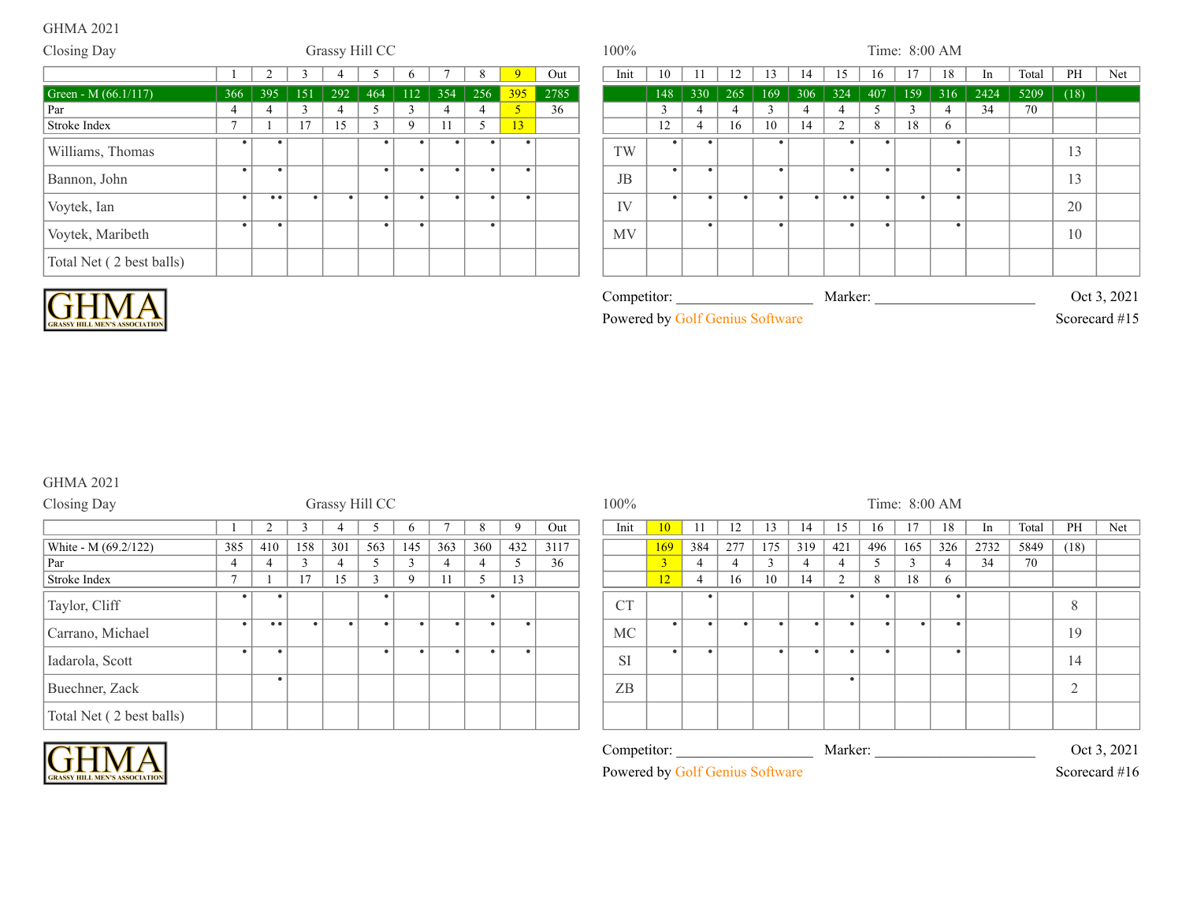| Closing Day              |                |                |            | Grassy Hill CC |           |     |           |           |                |      | 100%      |           |                |             |               |     |        |     | Time: 8:00 AM |                |      |       |      |     |
|--------------------------|----------------|----------------|------------|----------------|-----------|-----|-----------|-----------|----------------|------|-----------|-----------|----------------|-------------|---------------|-----|--------|-----|---------------|----------------|------|-------|------|-----|
|                          |                | $\mathcal{D}$  |            |                |           | n   |           |           | $\mathbf{Q}$   | Out  | Init      | 10        | 11             | 12          | 13            | 14  | 15     | 16  | 17            | 18             | In   | Total | PH   | Net |
| Green - M $(66.1/117)$   | 366            | 395            | <b>151</b> | 292            | 464       | 112 | 354       | 256       | 395            | 2785 |           | 148       | 330            | $\vert$ 265 | 169           | 306 | 324    | 407 | 159           | 316            | 2424 | 5209  | (18) |     |
| Par                      | -4             | $\overline{4}$ |            |                |           |     | 4         | 4         | 5 <sup>1</sup> | 36   |           |           | -4             |             | $\mathcal{R}$ |     |        | -5  |               | $\overline{4}$ | 34   | 70    |      |     |
| Stroke Index             | $\overline{ }$ |                | 17         | 15             |           |     | 11        |           | 13             |      |           | 12        | $\overline{4}$ | 16          | 10            | 14  | $\sim$ | 8   | 18            | 6              |      |       |      |     |
| Williams, Thomas         |                |                |            |                |           |     |           |           |                |      | TW        |           |                |             |               |     |        |     |               |                |      |       | 13   |     |
| Bannon, John             |                | $\bullet$      |            |                | $\bullet$ |     | $\bullet$ | $\bullet$ |                |      | JB        | $\bullet$ |                |             |               |     | ٠      |     |               |                |      |       | 13   |     |
| Voytek, Ian              |                | • •            |            |                |           |     |           | $\bullet$ |                |      | IV        |           |                | $\bullet$   |               |     | • •    |     | $\bullet$     |                |      |       | 20   |     |
| Voytek, Maribeth         |                |                |            |                |           |     |           | $\bullet$ |                |      | <b>MV</b> |           |                |             |               |     |        |     |               |                |      |       | 10   |     |
| Total Net (2 best balls) |                |                |            |                |           |     |           |           |                |      |           |           |                |             |               |     |        |     |               |                |      |       |      |     |



| $\tilde{\phantom{a}}$<br>$\mathsf{Competitor}$ : | Marker | 2021<br>. Jet       |
|--------------------------------------------------|--------|---------------------|
| Powered<br>1111S<br>hv<br>utware<br>N) I         |        | 11.4.7<br>Scorecard |

# GHMA 2021

|                |            |                |     |               |             |                |     |             |      | 100%      |                 |     |     |           |           |           |     |           |           |               |       |        |     |
|----------------|------------|----------------|-----|---------------|-------------|----------------|-----|-------------|------|-----------|-----------------|-----|-----|-----------|-----------|-----------|-----|-----------|-----------|---------------|-------|--------|-----|
|                | $\sqrt{2}$ |                |     |               |             |                | 8   | $\mathbf Q$ | Out  | Init      | 10 <sup>°</sup> |     | 12  | 13        | 14        |           | 16  |           | 18        | -In           | Total | PH     | Net |
| 385            | 410        | 158            | 301 | 563           | 145         | 363            | 360 | 432         | 3117 |           | 169             | 384 | 277 | 175       | 319       | 421       | 496 | 165       | 326       | 2732          | 5849  | (18)   |     |
|                | 4          |                |     |               |             |                |     |             | 36   |           | 2               |     |     | $\sim$    | 4         |           |     | -3        |           | 34            | 70    |        |     |
| $\overline{ }$ |            | 1 <sub>7</sub> | 15  | $\mathcal{R}$ | $\mathbf Q$ |                |     | 13          |      |           | 12              |     | 16  | 10        | 14        | $\sim$    | 8   | 18        | 6.        |               |       |        |     |
|                |            |                |     |               |             |                |     |             |      | <b>CT</b> |                 |     |     |           |           |           |     |           | ٠         |               |       | 8      |     |
| $\bullet$      | $^{\circ}$ | $\bullet$      |     | $\bullet$     | $\bullet$   |                |     |             |      | MC        | $\bullet$       |     |     | $\bullet$ | $\bullet$ | $\bullet$ |     | $\bullet$ | $\bullet$ |               |       | 19     |     |
| $\bullet$      | $\bullet$  |                |     | $\bullet$     | $\bullet$   |                |     |             |      | <b>SI</b> | $\bullet$       |     |     | $\bullet$ | $\bullet$ | $\bullet$ |     |           | $\bullet$ |               |       | 14     |     |
|                | ٠          |                |     |               |             |                |     |             |      | ZB        |                 |     |     |           |           |           |     |           |           |               |       | $\sim$ |     |
|                |            |                |     |               |             |                |     |             |      |           |                 |     |     |           |           |           |     |           |           |               |       |        |     |
|                |            |                |     |               |             | Grassy Hill CC |     |             |      |           |                 |     |     |           |           |           |     |           |           | Time: 8:00 AM |       |        |     |



| <b>SI</b>                       | ٠ |  |  |         |  |  | 14            |             |
|---------------------------------|---|--|--|---------|--|--|---------------|-------------|
| ZB                              |   |  |  |         |  |  | ∸             |             |
|                                 |   |  |  |         |  |  |               |             |
| Competitor:                     |   |  |  | Marker: |  |  |               | Oct 3, 2021 |
| Powered by Golf Genius Software |   |  |  |         |  |  | Scorecard #16 |             |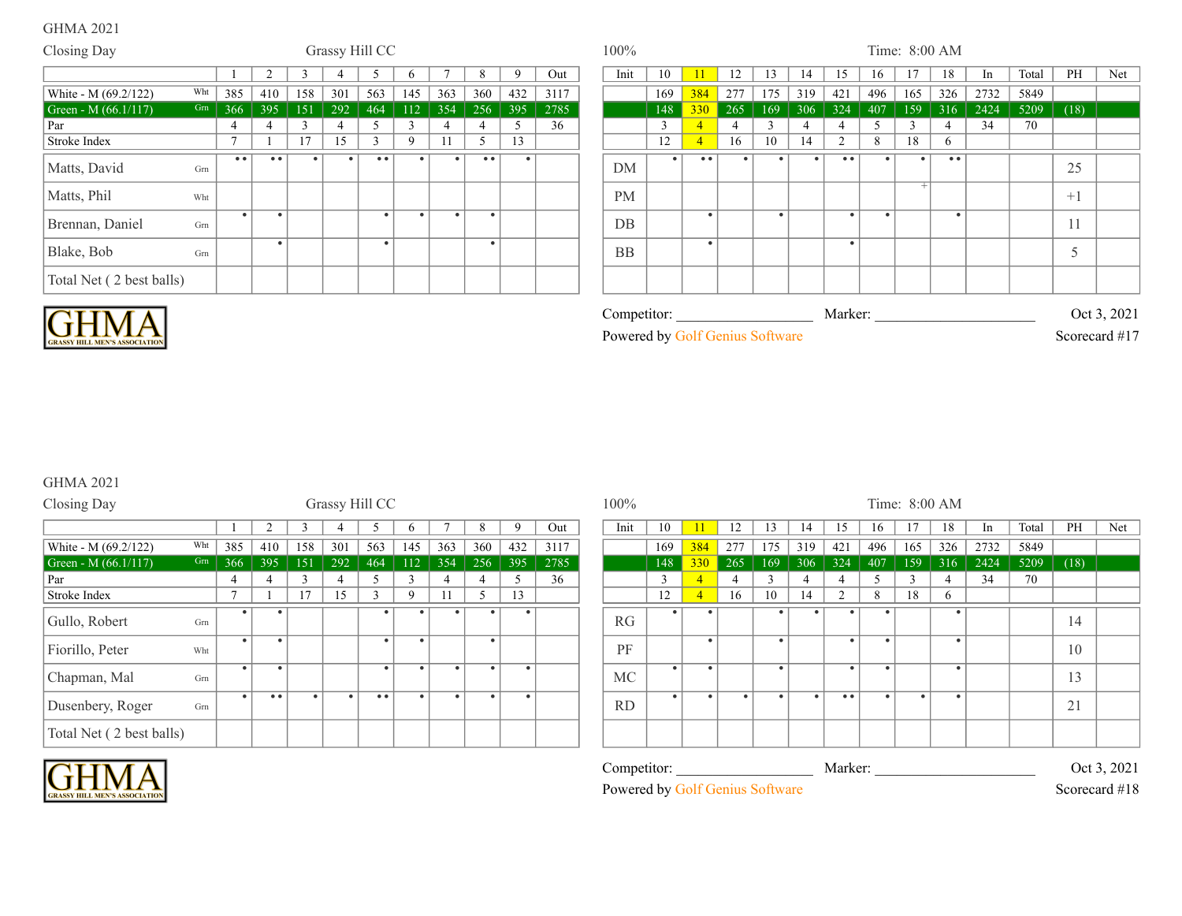| Closing Day              |     |                         |                  |     |     | Grassy Hill CC   |              |     |                  |           |      | 100%        |     |                  |             |     |           |                  |               | Time: 8:00 AM |           |      |       |             |             |
|--------------------------|-----|-------------------------|------------------|-----|-----|------------------|--------------|-----|------------------|-----------|------|-------------|-----|------------------|-------------|-----|-----------|------------------|---------------|---------------|-----------|------|-------|-------------|-------------|
|                          |     |                         | $\sqrt{ }$       |     |     |                  |              |     | 8                | 9         | Out  | Init        | 10  | 11               | 12          | 13  | 14        | 15               |               | 17            | 18        | In   | Total | PH          | Net         |
| White - M (69.2/122)     |     | Wht $385$               | 410              | 158 | 301 | 563              | 145          | 363 | 360              | 432       | 3117 |             | 169 | 384              | $\vert$ 277 | 175 | 319       | 421              | 496           | 165           | 326       | 2732 | 5849  |             |             |
| Green - M $(66.1/117)$   |     | $\boxed{\text{Gm}}$ 366 | 395              | 151 | 292 | 464              | 112          | 354 | $256$            | 395       | 2785 |             | 148 | 330              | 265         | 169 | 306       | 324              | 407           |               | $159$ 316 | 2424 | 5209  | (18)        |             |
| Par                      |     | 4                       |                  |     |     |                  |              |     |                  |           | 36   |             |     |                  |             |     |           |                  | $\mathcal{L}$ |               |           | 34   | 70    |             |             |
| Stroke Index             |     | $\overline{ }$          |                  | 17  | 15  | $\sim$           | $\mathbf{Q}$ | 11  | 5                | 13        |      |             | 12  |                  | 16          | 10  | 14        | $\mathcal{D}$    | 8             | 18            | 6         |      |       |             |             |
| Matts, David             | Grn | $\bullet\bullet$        | $\bullet\bullet$ |     |     | $\bullet\bullet$ |              |     | $\bullet\bullet$ | $\bullet$ |      | <b>DM</b>   |     | $\bullet\bullet$ |             |     | $\bullet$ | $\bullet\bullet$ |               |               | $\bullet$ |      |       | 25          |             |
| Matts, Phil              | Wht |                         |                  |     |     |                  |              |     |                  |           |      | <b>PM</b>   |     |                  |             |     |           |                  |               |               |           |      |       | $+1$        |             |
| Brennan, Daniel          | Grn | $\bullet$               |                  |     |     |                  |              |     | $\bullet$        |           |      | DB          |     |                  |             |     |           | $\bullet$        |               |               |           |      |       | 11          |             |
| Blake, Bob               | Grn |                         |                  |     |     |                  |              |     |                  |           |      | <b>BB</b>   |     |                  |             |     |           |                  |               |               |           |      |       | $\leq$<br>J |             |
| Total Net (2 best balls) |     |                         |                  |     |     |                  |              |     |                  |           |      |             |     |                  |             |     |           |                  |               |               |           |      |       |             |             |
| <b>CHM</b>               |     |                         |                  |     |     |                  |              |     |                  |           |      | Competitor: |     |                  |             |     |           | Marker:          |               |               |           |      |       |             | Oct 3, 2021 |

**CRASSY HILL MEN'S ASSOCIATION** 

|  |  | Powered by Golf Genius Software |  |
|--|--|---------------------------------|--|
|--|--|---------------------------------|--|

Scorecard #17

# GHMA 2021

| Closing Day              |     |              |                  |     | Grassy Hill CC |              |             |     |                |     |      | 100%        |               |                |                |              |          |         |     | Time: 8:00 AM |                |               |       |      |             |
|--------------------------|-----|--------------|------------------|-----|----------------|--------------|-------------|-----|----------------|-----|------|-------------|---------------|----------------|----------------|--------------|----------|---------|-----|---------------|----------------|---------------|-------|------|-------------|
|                          |     |              |                  |     |                |              |             |     | 8              | 9   | Out  | Init        | 10            |                | 12             | 13           | 14       | 15      | 16  | 17            | 18             | <sub>In</sub> | Total | PH   | Net         |
| White - M (69.2/122)     | Wht | 385          | 410              | 158 | 301            | 563          | 145         | 363 | 360            | 432 | 3117 |             | 169           | 384            | 277            | 175          | 319      | 421     | 496 | 165           | 326            | 2732          | 5849  |      |             |
| Green - M $(66.1/117)$   | Grn | 366          | 395              | 151 | 292            | 464          | 112         | 354 | 256            | 395 | 2785 |             | 148           | 330            | 265            | 169          | 306      | 324     | 407 | 159           | 316            | 2424          | 5209  | (18) |             |
| Par                      |     |              |                  |     | 4              | 5            |             |     | $\overline{4}$ |     | 36   |             | $\mathcal{R}$ | $\overline{4}$ | $\overline{4}$ | $\mathbf{3}$ | $\Delta$ | 4       | -5  | $\mathbf{3}$  | $\overline{4}$ | 34            | 70    |      |             |
| Stroke Index             |     | $\mathbf{r}$ |                  | 17  | 15             | $\mathbf{3}$ | $\mathbf Q$ | 11  | 5              | 13  |      |             | 12            | $\overline{4}$ | 16             | 10           | 14       | 2       | 8   | 18            | 6              |               |       |      |             |
| Gullo, Robert            | Grn |              |                  |     |                |              |             |     | $\bullet$      |     |      | RG          | $\bullet$     |                |                |              |          |         |     |               |                |               |       | 14   |             |
| Fiorillo, Peter          | Wht | $\bullet$    |                  |     |                | $\bullet$    | ٠           |     | $\bullet$      |     |      | PF          |               | $\bullet$      |                | $\bullet$    |          |         |     |               |                |               |       | 10   |             |
| Chapman, Mal             | Grn |              |                  |     |                | $\bullet$    |             |     |                |     |      | <b>MC</b>   | $\bullet$     |                |                |              |          |         |     |               |                |               |       | 13   |             |
| Dusenbery, Roger         | Grn |              | $\bullet\bullet$ |     |                | • •          |             |     |                |     |      | <b>RD</b>   | $\bullet$     | $\bullet$      |                |              |          | • •     |     | ٠             |                |               |       | 21   |             |
| Total Net (2 best balls) |     |              |                  |     |                |              |             |     |                |     |      |             |               |                |                |              |          |         |     |               |                |               |       |      |             |
|                          |     |              |                  |     |                |              |             |     |                |     |      | Competitor: |               |                |                |              |          | Marker: |     |               |                |               |       |      | Oct 3, 2021 |

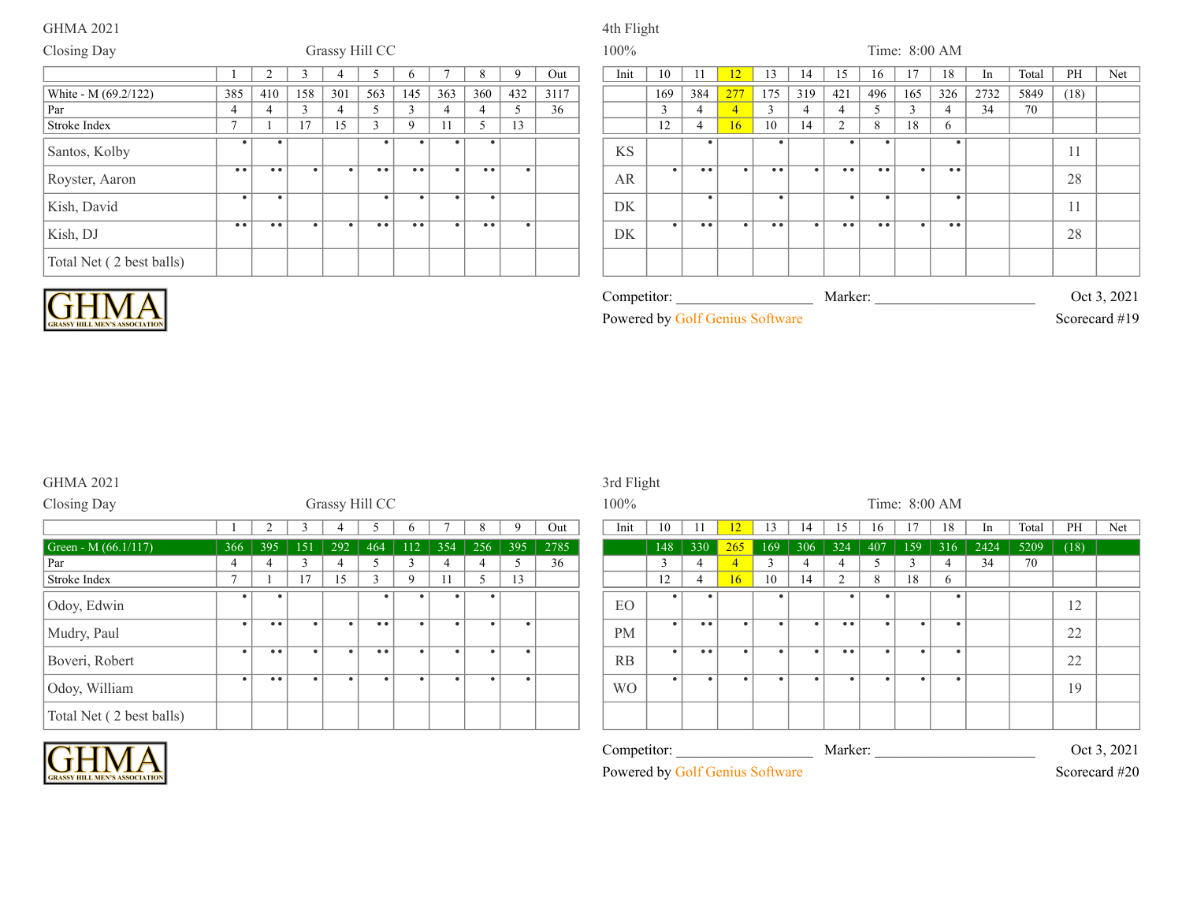# GHMA 2021 4th Flight

| Closing Day              |                     |     |           |                | Grassy Hill CC |                  |           |           |             |      | 100%      |                    |           |                |                                               |           |                |                  |           | Time: 8:00 AM |      |       |          |     |
|--------------------------|---------------------|-----|-----------|----------------|----------------|------------------|-----------|-----------|-------------|------|-----------|--------------------|-----------|----------------|-----------------------------------------------|-----------|----------------|------------------|-----------|---------------|------|-------|----------|-----|
|                          |                     |     |           |                |                |                  |           | $\Omega$  | $\mathbf Q$ | Out  | Init      | 10                 |           |                |                                               | 14        | 15             | 16               |           | 18            |      | Total | PH       | Net |
| White - M (69.2/122)     | 385                 | 410 | 158       | 301            | 563            | 145              | 363       | 360       | 432         | 3117 |           | 169                | 384       | 277            | 175                                           | 319       | 421            | 496              | 165       | 326           | 2732 | 5849  | (18)     |     |
| Par                      |                     | 4   |           | $\overline{4}$ |                | $\sim$           |           |           |             | 36   |           | $\sim$<br>$\Delta$ |           | $\overline{4}$ | $\sim$                                        |           | $\overline{4}$ |                  | $\sim$    |               | 34   | 70    |          |     |
| Stroke Index             | $\mathbf{r}$        |     | 17        | 15             |                | 9                | 11        | 5         | 13          |      |           | 12                 |           | 16             | 10                                            | 14        | $\sim$         | 8                | 18        | $\mathsf{h}$  |      |       |          |     |
| Santos, Kolby            |                     |     |           |                |                |                  |           |           |             |      | <b>KS</b> |                    |           |                |                                               |           |                | ٠                |           |               |      |       | 11       |     |
| Royster, Aaron           | $\bullet\bullet$    | • • | $\bullet$ | $\bullet$      | • •            | $\bullet\bullet$ | $\bullet$ | $-$ .     | $\bullet$   |      | AR        | $\bullet$          | • •       |                | $\bullet\hspace{0.1cm} \bullet\hspace{0.1cm}$ | - 4       | • •            | $\bullet\bullet$ | $\bullet$ | • •           |      |       | 28       |     |
| Kish, David              | $\bullet$           |     |           |                | $\bullet$      |                  | $\bullet$ | $\bullet$ |             |      | DK        |                    | $\bullet$ |                | $\bullet$                                     |           | $\bullet$      | $\bullet$        |           | $\bullet$     |      |       | 11<br>-1 |     |
| Kish, DJ                 | $\bullet$ $\bullet$ | • • | $\bullet$ | $\bullet$      | • •            | $\bullet\bullet$ | $\bullet$ | • •       | $\bullet$   |      | DK        | $\bullet$          | • •       | $\bullet$      | $\bullet\bullet$                              | $\bullet$ | • •            | $\bullet\bullet$ | $\bullet$ | • •           |      |       | 28       |     |
| Total Net (2 best balls) |                     |     |           |                |                |                  |           |           |             |      |           |                    |           |                |                                               |           |                |                  |           |               |      |       |          |     |



| <b>RASSY HILL MEN'S ASSOCIATIO</b> |  |
|------------------------------------|--|

| . ompetitor: . |  |             |          | Marker: |  |  | Oct 3           | 2021 |  |
|----------------|--|-------------|----------|---------|--|--|-----------------|------|--|
| Powered by C   |  | iolf Genuis | Software |         |  |  | Scorecard $#19$ |      |  |

# GHMA 2021 3rd Flight

GRASSY HILL MEN'S ASSOCIATION

| Closing Day              |                |                  |     |           | Grassy Hill CC                 |             |           |     |           |      | $100\%$   |           |                     |                 |           |                |                  |           |           | Time: 8:00 AM |      |      |
|--------------------------|----------------|------------------|-----|-----------|--------------------------------|-------------|-----------|-----|-----------|------|-----------|-----------|---------------------|-----------------|-----------|----------------|------------------|-----------|-----------|---------------|------|------|
|                          |                |                  |     |           |                                |             |           | 8   | $\Omega$  | Out  | Init      | 10        |                     | 12              | 13        | 14             | 15               | 16        |           | 18            |      | Tota |
| Green - M $(66.1/117)$   | 366            | 395              | 151 | 292       | 464                            | 112         | 354       | 256 | 395       | 2785 |           | 148       | 330                 | 265             | 169       | 306            | 324              | 407       | 159       | 316           | 2424 | 520  |
| Par                      | 4              | 4                |     | 4         |                                |             | 4         |     |           | 36   |           |           | 4                   | $\overline{4}$  |           | $\overline{4}$ |                  |           | $\sim$    | 4             | 34   | 70   |
| Stroke Index             | $\overline{ }$ |                  | 17  | 15        | $\sim$<br>$\blacktriangleleft$ | $\mathbf Q$ | 11        |     | 13        |      |           | 12        | 4                   | 16 <sup>2</sup> | 10        | 14             | 2                | 8         | 18        | 6             |      |      |
| Odoy, Edwin              |                |                  |     |           |                                |             |           |     |           |      | EO        |           |                     |                 |           |                |                  |           |           |               |      |      |
| Mudry, Paul              | $\bullet$      | $\bullet\bullet$ |     | $\bullet$ | • •                            |             |           |     | -         |      | <b>PM</b> | $\bullet$ | $\bullet\bullet$    |                 | $\bullet$ | $\bullet$      | $\bullet\bullet$ | $\bullet$ | $\bullet$ |               |      |      |
| Boveri, Robert           | $\bullet$      | • •              |     | $\bullet$ | • •                            |             | $\bullet$ | ٠   | $\bullet$ |      | RB        | $\bullet$ | $\bullet$ $\bullet$ |                 | $\bullet$ | $\bullet$      | • •              | $\bullet$ | ٠         |               |      |      |
| Odoy, William            | $\bullet$      | $\bullet$        |     |           | $\bullet$                      |             |           | ٠   | -         |      | <b>WO</b> | - 4       |                     |                 | $\bullet$ | $\bullet$      |                  | $\bullet$ | ٠         |               |      |      |
| Total Net (2 best balls) |                |                  |     |           |                                |             |           |     |           |      |           |           |                     |                 |           |                |                  |           |           |               |      |      |

| Grassy Hill CC<br>Time: 8:00 AM<br>100%<br>PH<br>Net<br>Init<br>9<br>Out<br>10<br>18<br>Total<br>12 <sup>2</sup><br>13<br>-11<br>15<br>In<br>14<br>16<br>C<br>$\mathbf{p}$<br>2785<br>5209<br>2424<br>(18)<br>395<br>256<br>395<br>148<br>330<br>306<br>324<br>159<br>316<br>151<br>292<br>354<br>169<br>407<br>112<br>265<br>464<br>36<br>34<br>70<br>3<br>5<br>3<br>3<br>5<br>3<br>5<br>3<br>4<br>4<br>4<br>4<br>17<br>15<br>13<br>18<br>3<br>5<br>12<br>16 <sup>°</sup><br>10<br>14<br>$\overline{2}$<br>8<br>9<br>11<br>6<br>$\bullet$<br>٠<br>$\bullet$<br>$\bullet$<br>٠<br>٠<br>EO<br>12<br>$\bullet\bullet$<br>• •<br>• •<br>$\bullet$<br>$\bullet$<br>$\bullet$<br>$\bullet$<br>$\bullet$<br>$\bullet$<br>$\bullet$<br>$\bullet$<br>$\bullet$<br>$\bullet$<br>$\bullet$<br>$\bullet$ $\bullet$<br>$\bullet$<br>$\bullet$<br>22<br><b>PM</b><br>• •<br>$\bullet$<br>$\bullet$<br>$\bullet$<br>• •<br>$\bullet$<br>• •<br>$\bullet$<br>$\bullet$ .<br>$\bullet$ 1<br>$\bullet$<br>$\bullet$<br>$^{\circ}$<br>$\bullet$<br>22<br>RB<br>$\bullet$<br>$\bullet$ 1<br>$\bullet$<br>$\bullet$<br>$\bullet$<br>$\bullet$ $\bullet$<br>$\bullet$<br>$\bullet$<br>$\bullet$<br>$\bullet$<br>$\bullet$<br>$\bullet$<br>$\bullet$<br>$\bullet$<br>$\bullet$<br>$\bullet$<br>$\bullet$<br>$\bullet$<br><b>WO</b><br>19<br>Competitor:<br>Marker:<br>Oct 3, 2021<br>Powered by Golf Genius Software<br>Scorecard #20 |     |  |  |  |  |  | 3rd Flight |  |  |  |  |  |  |  |
|-----------------------------------------------------------------------------------------------------------------------------------------------------------------------------------------------------------------------------------------------------------------------------------------------------------------------------------------------------------------------------------------------------------------------------------------------------------------------------------------------------------------------------------------------------------------------------------------------------------------------------------------------------------------------------------------------------------------------------------------------------------------------------------------------------------------------------------------------------------------------------------------------------------------------------------------------------------------------------------------------------------------------------------------------------------------------------------------------------------------------------------------------------------------------------------------------------------------------------------------------------------------------------------------------------------------------------------------------------------------------------------------------------------------|-----|--|--|--|--|--|------------|--|--|--|--|--|--|--|
|                                                                                                                                                                                                                                                                                                                                                                                                                                                                                                                                                                                                                                                                                                                                                                                                                                                                                                                                                                                                                                                                                                                                                                                                                                                                                                                                                                                                                 |     |  |  |  |  |  |            |  |  |  |  |  |  |  |
|                                                                                                                                                                                                                                                                                                                                                                                                                                                                                                                                                                                                                                                                                                                                                                                                                                                                                                                                                                                                                                                                                                                                                                                                                                                                                                                                                                                                                 |     |  |  |  |  |  |            |  |  |  |  |  |  |  |
|                                                                                                                                                                                                                                                                                                                                                                                                                                                                                                                                                                                                                                                                                                                                                                                                                                                                                                                                                                                                                                                                                                                                                                                                                                                                                                                                                                                                                 | 366 |  |  |  |  |  |            |  |  |  |  |  |  |  |
|                                                                                                                                                                                                                                                                                                                                                                                                                                                                                                                                                                                                                                                                                                                                                                                                                                                                                                                                                                                                                                                                                                                                                                                                                                                                                                                                                                                                                 | 4   |  |  |  |  |  |            |  |  |  |  |  |  |  |
|                                                                                                                                                                                                                                                                                                                                                                                                                                                                                                                                                                                                                                                                                                                                                                                                                                                                                                                                                                                                                                                                                                                                                                                                                                                                                                                                                                                                                 |     |  |  |  |  |  |            |  |  |  |  |  |  |  |
|                                                                                                                                                                                                                                                                                                                                                                                                                                                                                                                                                                                                                                                                                                                                                                                                                                                                                                                                                                                                                                                                                                                                                                                                                                                                                                                                                                                                                 |     |  |  |  |  |  |            |  |  |  |  |  |  |  |
|                                                                                                                                                                                                                                                                                                                                                                                                                                                                                                                                                                                                                                                                                                                                                                                                                                                                                                                                                                                                                                                                                                                                                                                                                                                                                                                                                                                                                 |     |  |  |  |  |  |            |  |  |  |  |  |  |  |
|                                                                                                                                                                                                                                                                                                                                                                                                                                                                                                                                                                                                                                                                                                                                                                                                                                                                                                                                                                                                                                                                                                                                                                                                                                                                                                                                                                                                                 |     |  |  |  |  |  |            |  |  |  |  |  |  |  |
|                                                                                                                                                                                                                                                                                                                                                                                                                                                                                                                                                                                                                                                                                                                                                                                                                                                                                                                                                                                                                                                                                                                                                                                                                                                                                                                                                                                                                 |     |  |  |  |  |  |            |  |  |  |  |  |  |  |
|                                                                                                                                                                                                                                                                                                                                                                                                                                                                                                                                                                                                                                                                                                                                                                                                                                                                                                                                                                                                                                                                                                                                                                                                                                                                                                                                                                                                                 |     |  |  |  |  |  |            |  |  |  |  |  |  |  |
|                                                                                                                                                                                                                                                                                                                                                                                                                                                                                                                                                                                                                                                                                                                                                                                                                                                                                                                                                                                                                                                                                                                                                                                                                                                                                                                                                                                                                 |     |  |  |  |  |  |            |  |  |  |  |  |  |  |
|                                                                                                                                                                                                                                                                                                                                                                                                                                                                                                                                                                                                                                                                                                                                                                                                                                                                                                                                                                                                                                                                                                                                                                                                                                                                                                                                                                                                                 |     |  |  |  |  |  |            |  |  |  |  |  |  |  |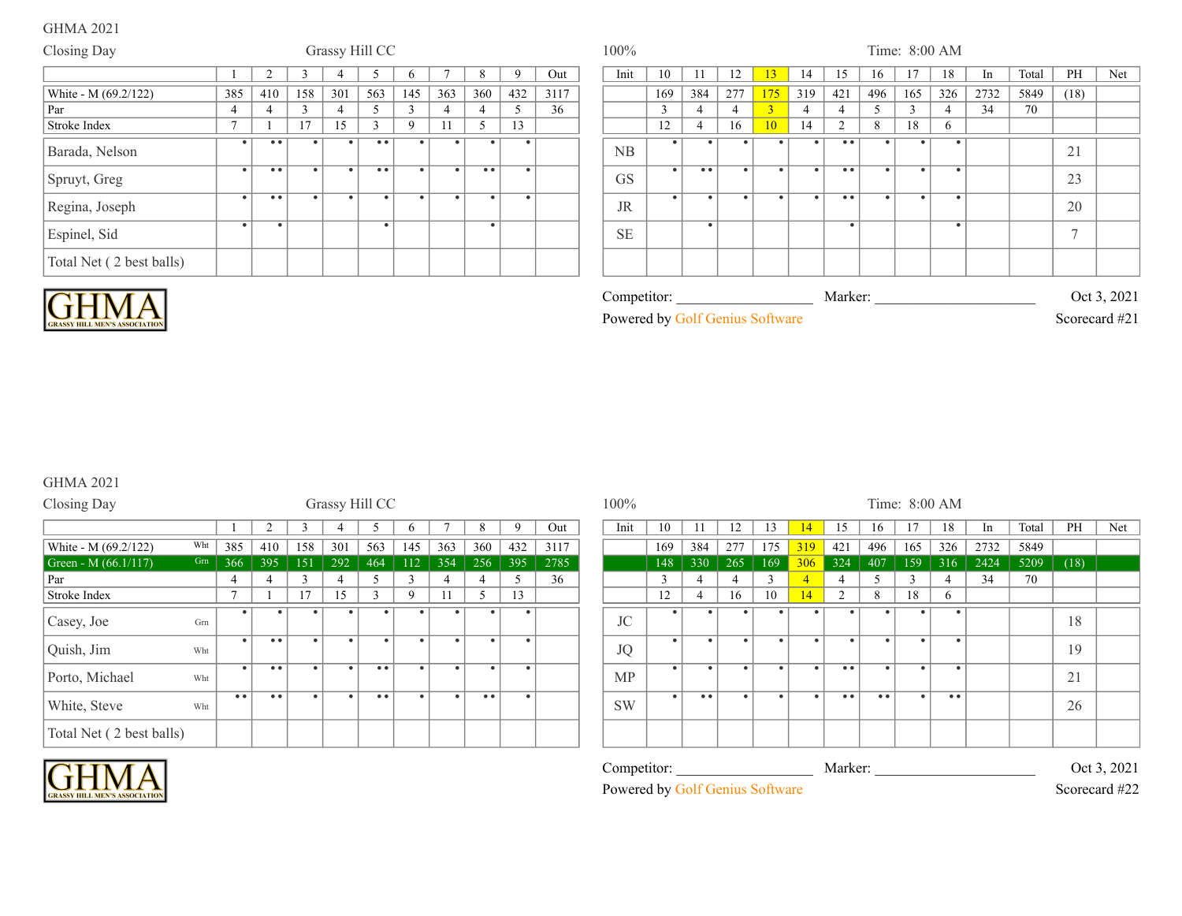| Closing Day              |                |                     |           | Grassy Hill CC |                     |              |                |                  |     |      | 100%      |      |              |                     |           |                 |           |                  |           | Time: 8:00 AM |                             |      |       |      |     |
|--------------------------|----------------|---------------------|-----------|----------------|---------------------|--------------|----------------|------------------|-----|------|-----------|------|--------------|---------------------|-----------|-----------------|-----------|------------------|-----------|---------------|-----------------------------|------|-------|------|-----|
|                          |                |                     |           |                |                     | <sub>0</sub> |                |                  |     | Out  |           | Init | 10           |                     | 12        | 13 <sup>°</sup> | 14        | 15               | 16        | 17            | 18                          | In   | Total | PH   | Net |
| White - M (69.2/122)     | 385            | 410                 | 158       | 301            | 563                 | 145          | 363            | 360              | 432 | 3117 |           |      | 169          | 384                 | 277       | 175             | 319       | 421              | 496       | 165           | 326                         | 2732 | 5849  | (18) |     |
| Par                      | 4              | 4                   |           | $\overline{4}$ |                     |              | $\overline{4}$ |                  | 5   | 36   |           |      | $\mathbf{R}$ | 4                   |           | $\overline{3}$  |           | 4                |           | $\sim$        | $\boldsymbol{\vartriangle}$ | 34   | 70    |      |     |
| Stroke Index             | $\overline{ }$ |                     | 17        | 15             |                     | 9            |                |                  | 13  |      |           |      | 12           |                     | 16        | 10              | 14        | $\sim$           | 8         | 18            | 6                           |      |       |      |     |
| Barada, Nelson           |                | $\bullet\;\bullet$  |           |                | $\bullet\bullet$    |              |                |                  |     |      | <b>NB</b> |      |              |                     |           |                 |           | $\bullet\bullet$ |           |               | ٠                           |      |       | 21   |     |
| Spruyt, Greg             |                | $\bullet$ $\bullet$ | $\bullet$ |                | $\bullet$ $\bullet$ |              |                | $\bullet\bullet$ |     |      | <b>GS</b> |      |              | $\bullet$ $\bullet$ |           |                 | $\bullet$ | • •              |           |               |                             |      |       | 23   |     |
| Regina, Joseph           | $\bullet$      | $\bullet$ $\bullet$ | $\bullet$ |                | $\bullet$           | $\bullet$    |                | $\bullet$        |     |      | <b>JR</b> |      |              | $\bullet$           | $\bullet$ |                 | $\bullet$ | • •              | $\bullet$ | $\bullet$     |                             |      |       | 20   |     |
| Espinel, Sid             |                |                     |           |                |                     |              |                | $\bullet$        |     |      | <b>SE</b> |      |              |                     |           |                 |           |                  |           |               | $\bullet$                   |      |       |      |     |
| Total Net (2 best balls) |                |                     |           |                |                     |              |                |                  |     |      |           |      |              |                     |           |                 |           |                  |           |               |                             |      |       |      |     |



| Competitor:                     | Marker: | Oct 3, 2021   |
|---------------------------------|---------|---------------|
| Powered by Golf Genius Software |         | Scorecard #21 |

# GHMA 2021

| Closing Day              |     |                |                  |               |     | Grassy Hill CC   |              |           |                  |     |      | 100%      |               |                  |                |     |           |                     |                  | Time: 8:00 AM |     |      |      |
|--------------------------|-----|----------------|------------------|---------------|-----|------------------|--------------|-----------|------------------|-----|------|-----------|---------------|------------------|----------------|-----|-----------|---------------------|------------------|---------------|-----|------|------|
|                          |     |                |                  | ຳ             |     |                  | $\theta$     |           | 8                | 9   | Out  | Init      | 10            |                  | 12             | 13  | 14        | 15                  | 16               | 17            | 18  | In   | Tota |
| White - M (69.2/122)     | Wht | 385            | 410              | 158           | 301 | 563              | 145          | 363       | 360              | 432 | 3117 |           | 169           | 384              | 277            | 175 | 319       | 421                 | 496              | 165           | 326 | 2732 | 584  |
| Green - M $(66.1/117)$   | Grn | 366            | 395              | 151           | 292 | 464              | 112          | 354       | 256              | 395 | 2785 |           | 148           | 330              | 265            | 169 | 306       | 324                 | 407              | 159           | 316 | 2424 | 520  |
| Par                      |     | 4              | 4                | $\mathcal{R}$ |     |                  | $\mathbf{3}$ | 4         | 4                |     | 36   |           | $\mathcal{L}$ |                  | $\overline{4}$ |     |           | $\overline{4}$      |                  |               | 4   | 34   | 70   |
| Stroke Index             |     | $\overline{ }$ |                  | 17            | 15  | $\sim$           | $\mathbf Q$  |           |                  | 13  |      |           | 12            |                  | 16             | 10  | 14        | 2                   | 8                | 18            | 6   |      |      |
| Casey, Joe               | Grn |                |                  |               |     |                  |              |           |                  |     |      | JC        |               | ٠                |                |     |           |                     |                  |               |     |      |      |
| Quish, Jim               | Wht | $\bullet$      | $\bullet\bullet$ | ٠             |     | $\bullet$        | $\bullet$    | $\bullet$ | $\bullet$        |     |      | <b>JQ</b> |               | $\bullet$        |                | ٠   | $\bullet$ | $\bullet$           |                  | $\bullet$     |     |      |      |
| Porto, Michael           | Wht |                | $\bullet\bullet$ |               |     | $\bullet\bullet$ |              |           |                  |     |      | <b>MP</b> |               | ٠                |                |     | $\bullet$ | $\bullet$ $\bullet$ |                  | $\bullet$     |     |      |      |
| White, Steve             | Wht | • •            | $\bullet\bullet$ |               |     | $\bullet$        |              | $\bullet$ | $\bullet\bullet$ |     |      | <b>SW</b> |               | $\bullet\bullet$ |                |     | $\bullet$ | $\bullet$ $\bullet$ | $\bullet\bullet$ |               | • • |      |      |
| Total Net (2 best balls) |     |                |                  |               |     |                  |              |           |                  |     |      |           |               |                  |                |     |           |                     |                  |               |     |      |      |

|           | 2                | $\sqrt{2}$<br>$\rightarrow$ | 4         |                     | <sub>0</sub> | −   | 8         | 9         | Out  | Init        | 10           |                  | 12        | 13            | 14        | 15                  | 16  | 17        | 18  | In   | Total | PH   | Net         |
|-----------|------------------|-----------------------------|-----------|---------------------|--------------|-----|-----------|-----------|------|-------------|--------------|------------------|-----------|---------------|-----------|---------------------|-----|-----------|-----|------|-------|------|-------------|
| 385       | 410              | 158                         | 301       | 563                 | 145          | 363 | 360       | 432       | 3117 |             | 169          | 384              | 277       | 175           | 319       | 421                 | 496 | 165       | 326 | 2732 | 5849  |      |             |
| 366       | 395              | 151                         | 292       | 464                 | 112          | 354 | 256       | 395       | 2785 |             | 148          | 330              | 265       | 169           | 306       | 324                 | 407 | 159       | 316 | 2424 | 5209  | (18) |             |
| 4         | 4                | $\mathbf{3}$                | 4         | 5                   | 3            | 4   | 4         | Ć.        | 36   |             | $\mathbf{3}$ | 4                | 4         | $\mathcal{L}$ | 4         | 4                   |     | 3         |     | 34   | 70    |      |             |
| 7         |                  | 17                          | 15        | 3                   | 9            | 11  | 5.        | 13        |      |             | 12           | 4                | 16        | 10            | 14        | 2                   | 8   | 18        | 6   |      |       |      |             |
| $\bullet$ |                  |                             |           | $\bullet$           |              |     |           | $\bullet$ |      | <b>JC</b>   | $\bullet$    | ٠                | ٠         |               |           | $\bullet$           |     |           |     |      |       | 18   |             |
| $\bullet$ | $\bullet\bullet$ |                             | $\bullet$ | $\bullet$           |              |     |           | $\bullet$ |      | <b>JQ</b>   | $\bullet$    | $\bullet$        | $\bullet$ |               | $\bullet$ | $\bullet$           |     |           |     |      |       | 19   |             |
| $\bullet$ | • •              |                             | $\bullet$ | $\bullet$           |              |     | $\bullet$ | $\bullet$ |      | <b>MP</b>   | $\bullet$    | ٠                | $\bullet$ | ٠             | $\bullet$ | $\bullet$           |     |           |     |      |       | 21   |             |
| • •       | • •              | ٠                           | $\bullet$ | $\bullet$ $\bullet$ |              |     | • •       | $\bullet$ |      | <b>SW</b>   | $\bullet$    | $\bullet\bullet$ | $\bullet$ | ٠             | $\bullet$ | $\bullet$ $\bullet$ | • • | $\bullet$ | • • |      |       | 26   |             |
|           |                  |                             |           |                     |              |     |           |           |      |             |              |                  |           |               |           |                     |     |           |     |      |       |      |             |
|           |                  |                             |           |                     |              |     |           |           |      | Competitor: |              |                  |           |               |           | Marker:             |     |           |     |      |       |      | Oct 3, 2021 |

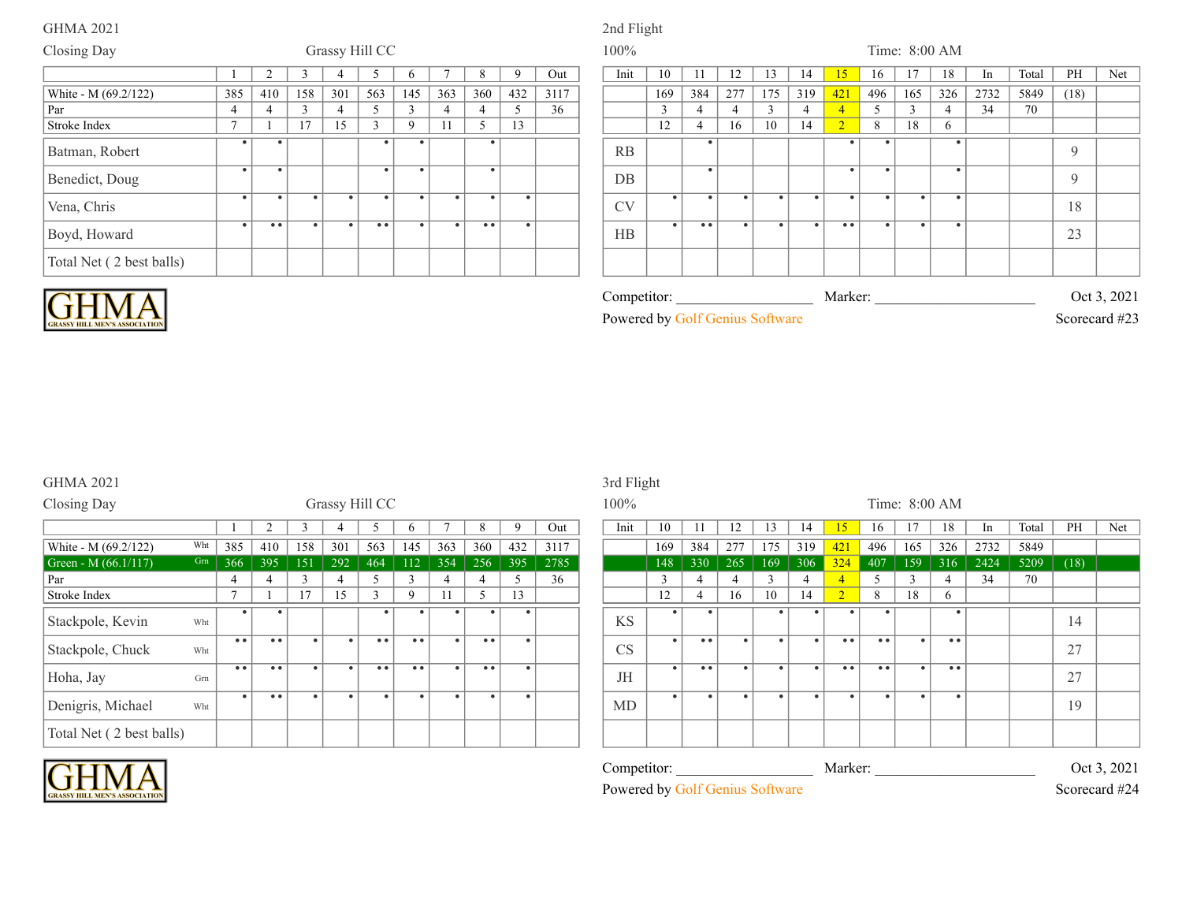### GHMA 2021 2nd Flight

### Closing Day **Grassy Hill CC** 100% Time: 8:00 AM 1 2 3 4 5 6 7 8 9 Out | Init 10 11 12 13 14 15 16 17 18 In Total PH Net 385 | 410 | 158 | 301 | 563 | 145 | 363 | 360 | 432 | 3117 | | | 169 | 384 | 277 | 175 | 319 <mark>| 421 |</mark> 496 | 165 | 326 | 2732 | 5849 | (18) Par 4 4 4 3 4 5 3 4 4 5 3 4 4 5 36 4 3 4 4 4 3 4 4 5 3 4 34 70 Stroke Index 7 1 17 15 3 9 11 5 13 12 4 16 10 14 2 8 18 6 White - M (69.2/122) Batman, Robert . . . . . RB . . . . 9 Benedict, Doug . . . . . DB . . . . 9 Vena, Chris . . . . . . . . . CV . . . . . . . . . 18 Boyd, Howard . .. . . .. . . .. . HB . .. . . . .. . . . 23 Total Net ( 2 best balls)



| <b>SSY HILL MEN'S ASSOCIATION</b> |  |
|-----------------------------------|--|

|  | Competitor <sup>.</sup> |  |            |  | Marker <sup>.</sup> |  |  | $\mathbf{h}$ | 2021                          |  |
|--|-------------------------|--|------------|--|---------------------|--|--|--------------|-------------------------------|--|
|  | Powered by              |  | 311 11 1 C |  |                     |  |  |              | Scorecard $\mu$ <sup>22</sup> |  |

### GHMA 2021 3rd Flight

| Closing Day                   |                 |                  |                  |              | Grassy Hill CC |                  |                  |           |     |     |      | 100%      |     |                  |                |     |           |                |                  | Time: 8:00 AM |     |      |      |
|-------------------------------|-----------------|------------------|------------------|--------------|----------------|------------------|------------------|-----------|-----|-----|------|-----------|-----|------------------|----------------|-----|-----------|----------------|------------------|---------------|-----|------|------|
|                               |                 |                  |                  |              |                |                  | <sub>0</sub>     |           | 8   | 9   | Out  | Init      | 10  |                  | 12             | 13  | 14        | 15             | 16               |               | 18  | In   | Tota |
| Wht<br>White - M (69.2/122)   | 385             |                  | 410              | 158          | 301            | 563              | 145              | 363       | 360 | 432 | 3117 |           | 169 | 384              | 277            | 175 | 319       | 421            | 496              | 165           | 326 | 2732 | 584  |
| Grn<br>Green - M $(66.1/117)$ | 366             |                  | 395              | 151          | 292            | 464              | 112              | 354       | 256 | 395 | 2785 |           | 148 | 330              | 265            | 169 | 306       | 324            | 407              | 159           | 316 | 2424 | 520  |
| Par                           |                 | 4                | $\overline{4}$   | $\mathbf{a}$ | 4              |                  | 3                |           | 4   |     | 36   |           | 3   | 4                | $\overline{4}$ |     | 4         | $\overline{4}$ |                  |               |     | 34   | 70   |
| Stroke Index                  | $\mathbf{\tau}$ |                  |                  | 17           | 15             | $\sim$           | $\mathbf Q$      |           |     | 13  |      |           | 12  | 4                | 16             | 10  | 14        | 2              | 8                | 18            | 6   |      |      |
| Stackpole, Kevin<br>Wht       |                 | $\bullet$        |                  |              |                |                  |                  |           |     |     |      | <b>KS</b> |     |                  |                |     |           |                |                  |               | ٠   |      |      |
| Stackpole, Chuck<br>Wht       |                 | $\bullet\bullet$ | • •              |              | $\bullet$      | • •              | $\bullet\bullet$ | $\bullet$ | • • |     |      | CS        |     | $\bullet\bullet$ |                |     | $\bullet$ | $\bullet$      | $\bullet\bullet$ |               | • • |      |      |
| Hoha, Jay<br>Grn              |                 | $\bullet\bullet$ | $\bullet\bullet$ |              | $\bullet$      | $\bullet\bullet$ | $\bullet\bullet$ | $\bullet$ | • • |     |      | JH        | ٠   | • •              |                | -4  | $\bullet$ | • •            | $\bullet\bullet$ |               | • • |      |      |
| Denigris, Michael<br>Wht      |                 | $\bullet$        | $\bullet\bullet$ |              | $\bullet$      |                  |                  | $\bullet$ |     |     |      | MD        | ٠   | $\bullet$        | $\bullet$      |     |           |                |                  | $\bullet$     |     |      |      |
| Total Net (2 best balls)      |                 |                  |                  |              |                |                  |                  |           |     |     |      |           |     |                  |                |     |           |                |                  |               |     |      |      |

### Competitor: \_\_\_\_\_\_\_\_\_\_\_\_\_\_\_\_\_\_\_\_\_\_\_\_\_\_\_\_\_\_\_\_\_\_\_\_\_\_\_\_\_\_\_\_\_\_\_\_\_\_\_\_\_\_\_\_\_\_\_\_\_\_\_\_\_\_\_\_\_\_\_\_\_\_\_ Marker: \_\_\_\_\_\_\_\_\_\_\_\_\_\_\_\_\_\_\_\_\_\_\_\_\_\_\_\_\_\_\_\_\_\_\_\_\_\_\_\_\_\_\_\_\_\_\_\_\_\_\_\_\_\_\_\_\_\_\_\_\_\_\_\_\_\_\_\_\_\_\_\_\_\_\_ Oct 3, 2021 1 1 1 3 4 5 6 7 7 8 10 17 0 18 PH Net 385 410 158 301 563 145 363 360 432 3117 169 384 277 175 319 421 496 165 326 2732 5849 366 395 151 292 464 112 354 256 395 2785 148 330 265 169 306 324 407 159 316 2424 5209 (18) KS . . . . . . . 14 CS . .. . . . .. .. . .. 27 JH . .. . . . .. .. . .. 27 MD . . . . . . . . . 19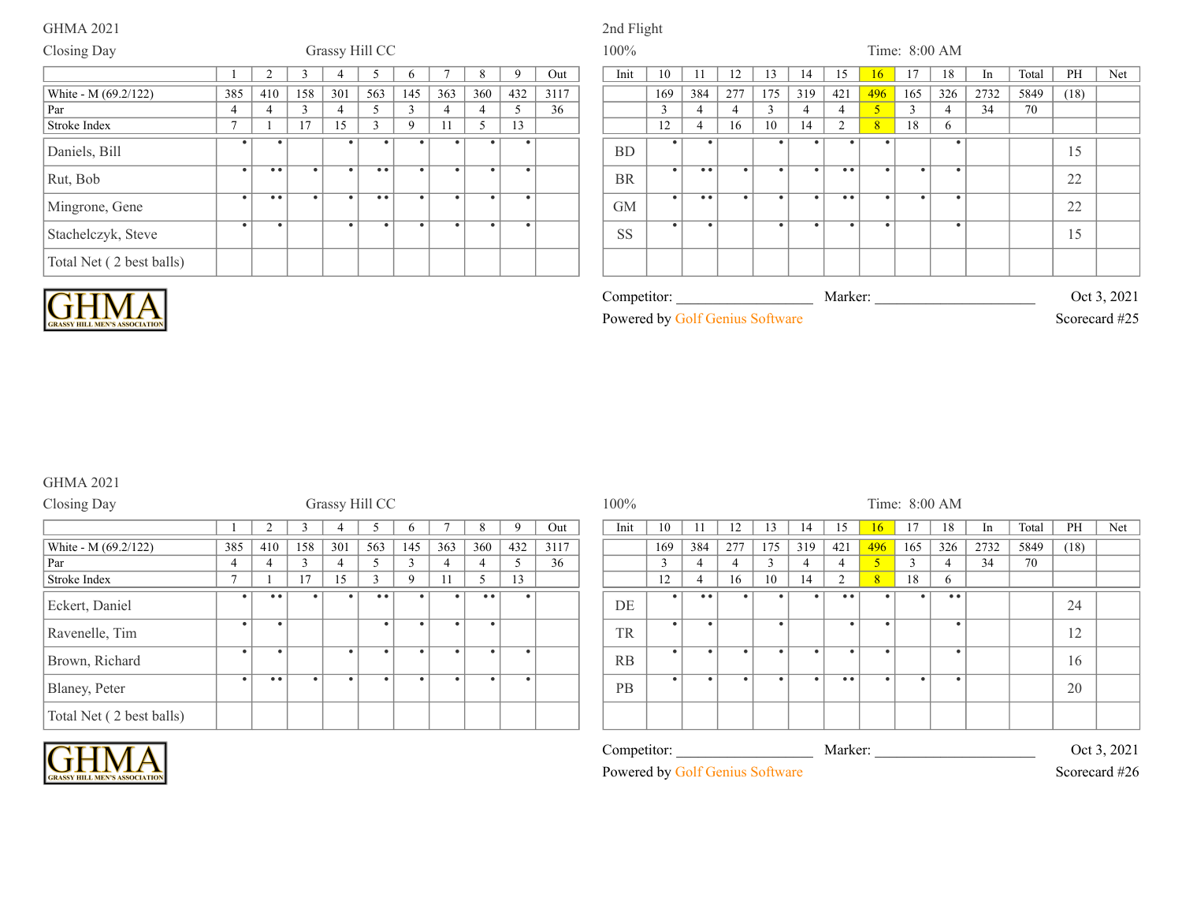# GHMA 2021 2nd Flight

### Closing Day Grassy Hill CC 100% Time: 8:00 AM 1 2 3 4 5 6 7 8 9 Out | Init 10 11 12 13 14 15 16 17 18 In Total PH Net 385 | 410 | 158 | 301 | 563 | 145 | 363 | 360 | 432 | 3117 | | | 169 | 384 | 277 | 175 | 319 | 421 <mark>| 496 |</mark> 165 | 326 | 2732 | 5849 | (18) Par 4 4 3 4 5 3 4 4 5 36 3 4 4 3 4 4 5 3 4 34 70 Stroke Index 7 1 17 15 3 9 11 5 13 12 4 16 10 14 2 8 18 6 White - M (69.2/122)<br>Par Daniels, Bill . . . . . . . . BD . . . . . . . 15 Rut, Bob . .. . . .. . . . . BR . .. . . . .. . . . 22 Mingrone, Gene . .. . . .. . . . . GM . .. . . . .. . . . 22 Stachelczyk, Steve . . . . . . . . SS . . . . . . . 15 Total Net ( 2 best balls)



| Competitor:                     | Marker <sup>.</sup> | Oct 3, 2021   |
|---------------------------------|---------------------|---------------|
| Powered by Golf Genius Software |                     | Scorecard #25 |

## GHMA 2021

| Closing Day              |                |                  |     |           | Grassy Hill CC      |          |           |                  |     |      | $100\%$   |     |                  |     |           |     |                     |              |        | Time: 8:00 AM |      |      |
|--------------------------|----------------|------------------|-----|-----------|---------------------|----------|-----------|------------------|-----|------|-----------|-----|------------------|-----|-----------|-----|---------------------|--------------|--------|---------------|------|------|
|                          |                |                  |     |           |                     |          |           |                  |     | Out  | Init      | 10  |                  | 12  | 13        | 14  | 15                  | 16           |        | 18            | In   | Tota |
| White - M (69.2/122)     | 385            | 410              | 158 | 301       | 563                 | 145      | 363       | 360              | 432 | 3117 |           | 169 | 384              | 277 | 175       | 319 | 421                 | 496          | 165    | 326           | 2732 | 584  |
| Par                      | 4              | 4                |     | 4         |                     |          | 4         | 4                |     | 36   |           |     |                  | 4   |           |     |                     |              | $\sim$ |               | 34   | 70   |
| Stroke Index             | $\overline{ }$ |                  | 17  | 15        | $\mathbf 3$         | $\Omega$ |           | 5                | 13  |      |           | 12  | 4                | 16  | 10        | 14  | 2                   | $\mathbf{R}$ | 18     | 6             |      |      |
| Eckert, Daniel           |                | $\bullet\bullet$ |     |           | $\bullet$ $\bullet$ |          |           | $\bullet\bullet$ |     |      | DE        |     | $\bullet\bullet$ |     |           |     | $\bullet$ $\bullet$ |              |        | • •           |      |      |
| Ravenelle, Tim           | ٠              |                  |     |           | $\bullet$           |          |           |                  |     |      | <b>TR</b> |     |                  |     | $\bullet$ |     |                     | $\bullet$    |        |               |      |      |
| Brown, Richard           | $\bullet$      |                  |     | $\bullet$ | $\bullet$           |          | $\bullet$ | $\bullet$        |     |      | RB        |     |                  |     |           |     |                     | $\bullet$    |        |               |      |      |
| Blaney, Peter            | $\bullet$      | $\bullet\bullet$ |     | $\bullet$ |                     |          |           | $\bullet$        |     |      | PB        |     |                  |     |           |     | • •                 | $\bullet$    |        |               |      |      |
| Total Net (2 best balls) |                |                  |     |           |                     |          |           |                  |     |      |           |     |                  |     |           |     |                     |              |        |               |      |      |

|                |                     |           | $\overline{\phantom{a}}$ |           |              |           |                                               |           |      |                                 |           |                  |           |          |           |                    |                          |               |     |      |       |                              |     |  |  |  |
|----------------|---------------------|-----------|--------------------------|-----------|--------------|-----------|-----------------------------------------------|-----------|------|---------------------------------|-----------|------------------|-----------|----------|-----------|--------------------|--------------------------|---------------|-----|------|-------|------------------------------|-----|--|--|--|
|                |                     |           |                          |           | $\mathbf{p}$ |           | 8                                             | 9         | Out  | Init                            | 10        |                  | 12        | 13       | 14        | 15                 | 16                       | 17            | 18  | In   | Total | PH                           | Net |  |  |  |
| 385            | 410                 | 158       | 301                      | 563       | 145          | 363       | 360                                           | 432       | 3117 |                                 | 169       | 384              | 277       | 175      | 319       | 421                | 496                      | 165           | 326 | 2732 | 5849  | (18)                         |     |  |  |  |
| $\overline{4}$ |                     | $\sim$    | 4                        | 5         | 3            | 4         |                                               | 5         | 36   |                                 | 3         |                  | 4         | $\gamma$ | 4         | $\overline{4}$     | $\overline{\mathcal{L}}$ | $\mathcal{R}$ |     | 34   | 70    |                              |     |  |  |  |
| $\mathbf{r}$   |                     | 17        | 15                       | 3         | 9            |           | 5                                             | 13        |      |                                 | 12        |                  | 16        | 10       | 14        | $\mathcal{D}$      | 8                        | 18            | 6   |      |       |                              |     |  |  |  |
| $\bullet$ 1    | $\bullet\bullet$    | $\bullet$ |                          | $\bullet$ |              |           | $\bullet\hspace{0.1cm} \bullet\hspace{0.1cm}$ | $\bullet$ |      | DE                              | $\bullet$ | $\bullet\bullet$ |           |          | $\bullet$ | • •                | ٠                        | $\bullet$     | • • |      |       | 24                           |     |  |  |  |
|                |                     |           |                          | $\bullet$ |              | $\bullet$ | $\bullet$                                     |           |      | <b>TR</b>                       | $\bullet$ | $\bullet$        |           |          |           | $\bullet$          | $\bullet$                |               |     |      |       | $1^{\circ}$<br>12            |     |  |  |  |
|                |                     |           | $\bullet$                | $\bullet$ |              | $\bullet$ | $\bullet$                                     | $\bullet$ |      | RB                              | $\bullet$ | $\bullet$        | $\bullet$ | - 6      | ٠         | - 0                | $\bullet$                |               |     |      |       | 16                           |     |  |  |  |
| $\bullet$      | $\bullet$ $\bullet$ | $\bullet$ |                          | $\bullet$ | ٠            | ٠         | $\bullet$                                     | $\bullet$ |      | PB                              | $\bullet$ | $\bullet$        | ٠         |          | ٠         | $\bullet\;\bullet$ | $\bullet$                | $\bullet$     |     |      |       | 20                           |     |  |  |  |
|                |                     |           |                          |           |              |           |                                               |           |      |                                 |           |                  |           |          |           |                    |                          |               |     |      |       |                              |     |  |  |  |
|                |                     |           |                          |           |              |           |                                               |           |      | Competitor:                     |           |                  |           |          |           | Marker:            |                          |               |     |      |       |                              |     |  |  |  |
|                |                     |           |                          |           |              |           |                                               |           |      | Powered by Golf Genius Software |           |                  |           |          |           |                    |                          |               |     |      |       | Oct 3, 2021<br>Scorecard #26 |     |  |  |  |

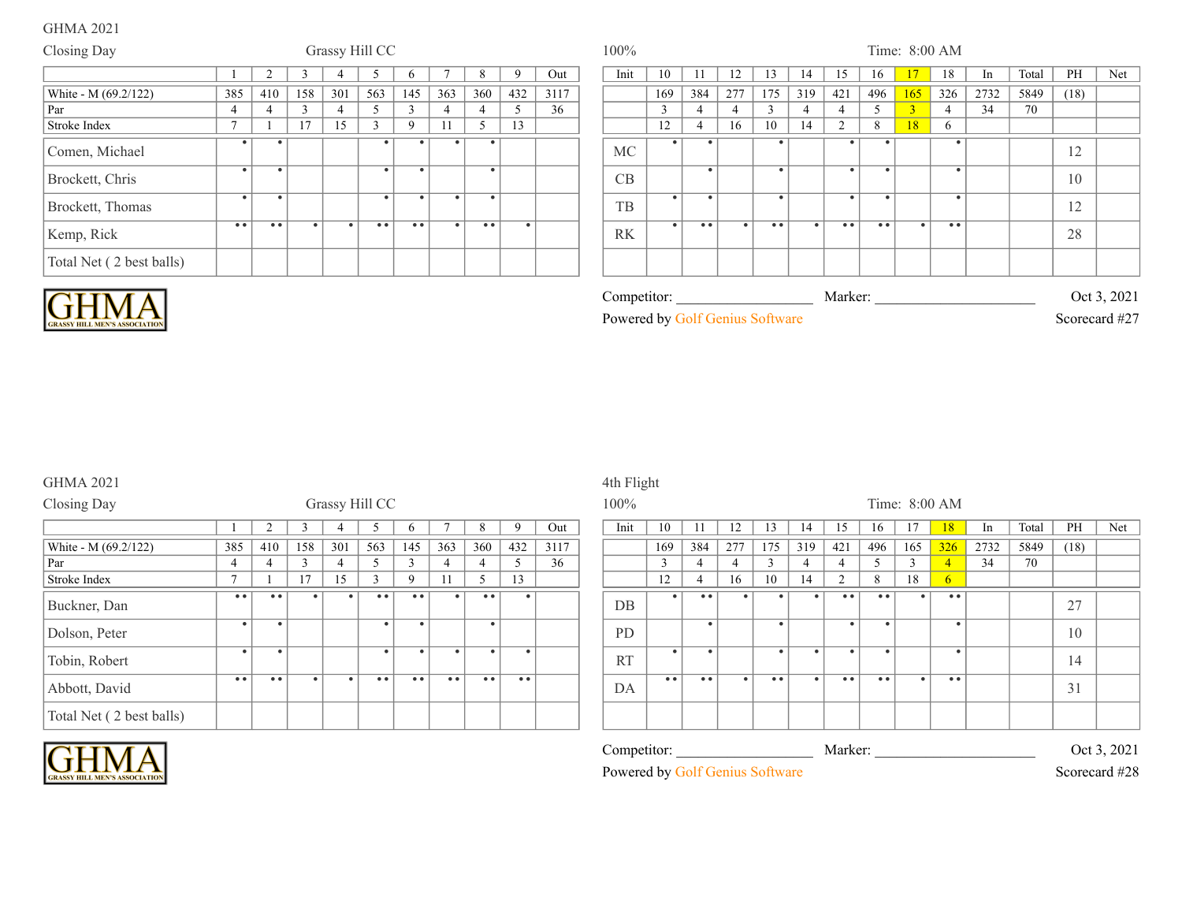| Closing Day              | Grassy Hill CC |           |           |                |           |                  |     |                  |           | 100% |           |              |                     |     |                  | Time: 8:00 AM |                  |                  |              |                     |      |       |      |     |  |
|--------------------------|----------------|-----------|-----------|----------------|-----------|------------------|-----|------------------|-----------|------|-----------|--------------|---------------------|-----|------------------|---------------|------------------|------------------|--------------|---------------------|------|-------|------|-----|--|
|                          |                |           |           |                |           | n                |     |                  | Q         | Out  | Init      | 10           |                     | 12  | 13               | 14            | 15               | 16               | $\mathbf{7}$ | 18                  | In   | Total | PH   | Net |  |
| White - M (69.2/122)     | 385            | 410       | 158       | 301            | 563       | 145              | 363 | 360              | 432       | 3117 |           | 169          | 384                 | 277 | 175              | 319           | 421              | 496              | 165          | 326                 | 2732 | 5849  | (18) |     |  |
| Par                      |                | 4         | $\sim$    | $\overline{4}$ |           | $\sim$           |     |                  |           | 36   |           | $\mathbf{3}$ |                     |     | 3                |               |                  |                  |              | $\overline{4}$      | 34   | 70    |      |     |  |
| Stroke Index             | $\overline{ }$ |           | 17        | 15             | $\sim$    | 9                |     |                  | 13        |      |           | 12           |                     | 16  | 10               | 14            | $\sim$           | 8                | 18           | 6                   |      |       |      |     |  |
| Comen, Michael           |                |           |           |                |           |                  |     | $\bullet$        |           |      | <b>MC</b> |              |                     |     |                  |               |                  |                  |              |                     |      |       | 12   |     |  |
| Brockett, Chris          |                |           |           |                |           |                  |     | $\bullet$        |           |      | CB        |              |                     |     |                  |               |                  | $\bullet$        |              |                     |      |       | 10   |     |  |
| Brockett, Thomas         |                |           |           |                | $\bullet$ |                  |     | $\bullet$        |           |      | TB        |              |                     |     | $\bullet$        |               |                  |                  |              |                     |      |       | 12   |     |  |
| Kemp, Rick               | • •            | $\bullet$ | $\bullet$ | $\bullet$      | • •       | $\bullet\bullet$ |     | $\bullet\bullet$ | $\bullet$ |      | RK        |              | $\bullet$ $\bullet$ |     | $\bullet\bullet$ | $\bullet$     | $\bullet\bullet$ | $\bullet\bullet$ |              | $\bullet$ $\bullet$ |      |       | 28   |     |  |
| Total Net (2 best balls) |                |           |           |                |           |                  |     |                  |           |      |           |              |                     |     |                  |               |                  |                  |              |                     |      |       |      |     |  |



| competitor:                                  | Marker <sup>.</sup> | $\mathbf{a}$<br>Oct |
|----------------------------------------------|---------------------|---------------------|
| Powered<br>bv.<br>$_{\text{nu}s}$<br>oftware |                     | 1127<br>Scorecard   |

### GHMA 2021 4th Flight

| Closing Day              | Grassy Hill CC   |                  |        |           |           |                  |                  |                  |          | 100% |           |                  |                |           |                  | Time: 8:00 AM |        |                  |           |                  |      |      |  |
|--------------------------|------------------|------------------|--------|-----------|-----------|------------------|------------------|------------------|----------|------|-----------|------------------|----------------|-----------|------------------|---------------|--------|------------------|-----------|------------------|------|------|--|
|                          |                  |                  |        |           |           |                  |                  | 8                | $\Omega$ | Out  | Init      | 10               |                | 12        | 13               | 14            | 15     | 16               |           | 18               | 1n   | Tota |  |
| White - M (69.2/122)     | 385              | 410              | 158    | 301       | 563       | 145              | 363              | 360              | 432      | 3117 |           | 169              | 384            | 277       | 175              | 319           | 421    | 496              | 165       | 326              | 2732 | 584  |  |
| Par                      | $\overline{4}$   | 4                | $\sim$ |           |           | $\sim$           |                  | 4                |          | 36   |           |                  | 4              | 4         |                  |               | 4      |                  | $\sim$    | $\overline{4}$   | 34   | 70   |  |
| Stroke Index             | $\mathbf{r}$     |                  | 17     | 15        |           | $\mathbf Q$      |                  | 5                | 13       |      |           | 12               | $\overline{4}$ | 16        | 10               | 14            | $\sim$ | 8                | 18        | 6                |      |      |  |
| Buckner, Dan             | $\bullet\bullet$ | • •              |        |           | • •       | $\bullet\bullet$ | ٠                | $\bullet\bullet$ |          |      | $DB$      |                  | • •            |           |                  |               | • •    | $\bullet\bullet$ |           | $\bullet\bullet$ |      |      |  |
| Dolson, Peter            | ٠                |                  |        |           |           |                  |                  | $\bullet$        |          |      | <b>PD</b> |                  |                |           |                  |               |        | $\bullet$        |           |                  |      |      |  |
| Tobin, Robert            | $\bullet$        |                  |        |           | $\bullet$ |                  | $\bullet$        |                  |          |      | <b>RT</b> |                  |                |           |                  | $\bullet$     |        | $\bullet$        |           |                  |      |      |  |
| Abbott, David            | $\bullet\bullet$ | $\bullet\bullet$ |        | $\bullet$ | • •       | $\bullet\bullet$ | $\bullet\bullet$ | • •              | • •      |      | DA        | $\bullet\bullet$ | • •            | $\bullet$ | $\bullet\bullet$ | $\bullet$     | • •    | $\bullet\bullet$ | $\bullet$ | • •              |      |      |  |
| Total Net (2 best balls) |                  |                  |        |           |           |                  |                  |                  |          |      |           |                  |                |           |                  |               |        |                  |           |                  |      |      |  |

### Competitor: \_\_\_\_\_\_\_\_\_\_\_\_\_\_\_\_\_\_\_\_\_\_\_\_\_\_\_\_\_\_\_\_\_\_\_\_\_\_\_\_\_\_\_\_\_\_\_\_\_\_\_\_\_\_\_\_\_\_\_\_\_\_\_\_\_\_\_\_\_\_\_\_\_\_\_ Marker: \_\_\_\_\_\_\_\_\_\_\_\_\_\_\_\_\_\_\_\_\_\_\_\_\_\_\_\_\_\_\_\_\_\_\_\_\_\_\_\_\_\_\_\_\_\_\_\_\_\_\_\_\_\_\_\_\_\_\_\_\_\_\_\_\_\_\_\_\_\_\_\_\_\_\_ Oct 3, 2021 Powered by Golf Genius Software Scorecard #28 1 1 3 4 5 6 7 7 8 7 0 1 1 10 11 12 13 14 15 16 17 16 17 18 10 11 12 14 15 16 17 17 18 17 18 17 18 17 18 17 18 1 385 410 158 301 563 145 363 360 432 3117 169 384 277 175 319 421 496 165 326 2732 5849 (18) DB 1.4 1.6 1.0 1.4 2 8 1.8 6 27 PD . . . . . 10 RT . . . . . . . 14 DA .. .. . .. . .. .. . .. 31